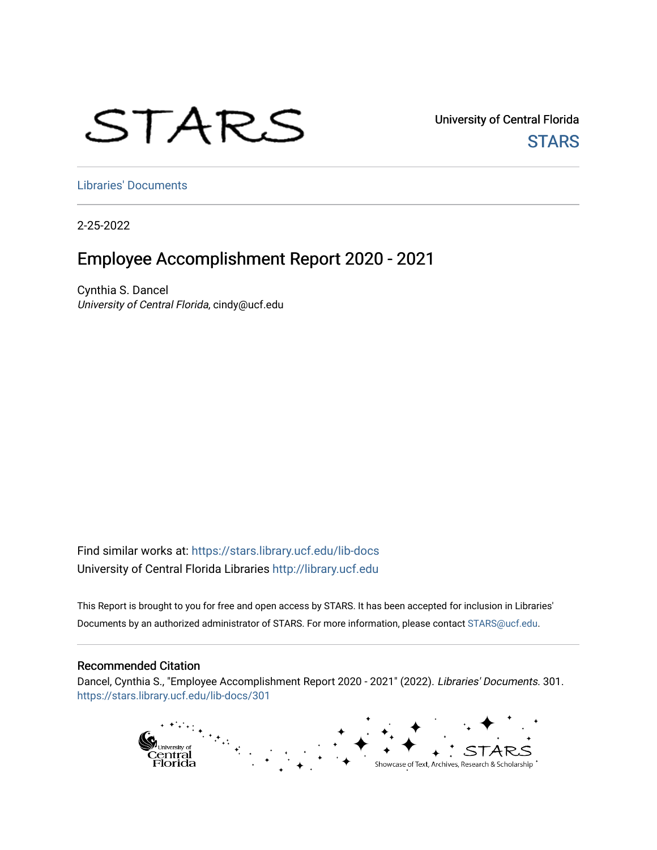# STARS

University of Central Florida **STARS** 

[Libraries' Documents](https://stars.library.ucf.edu/lib-docs) 

2-25-2022

## Employee Accomplishment Report 2020 - 2021

Cynthia S. Dancel University of Central Florida, cindy@ucf.edu

Find similar works at: <https://stars.library.ucf.edu/lib-docs> University of Central Florida Libraries [http://library.ucf.edu](http://library.ucf.edu/) 

This Report is brought to you for free and open access by STARS. It has been accepted for inclusion in Libraries' Documents by an authorized administrator of STARS. For more information, please contact [STARS@ucf.edu](mailto:STARS@ucf.edu).

#### Recommended Citation

Dancel, Cynthia S., "Employee Accomplishment Report 2020 - 2021" (2022). Libraries' Documents. 301. [https://stars.library.ucf.edu/lib-docs/301](https://stars.library.ucf.edu/lib-docs/301?utm_source=stars.library.ucf.edu%2Flib-docs%2F301&utm_medium=PDF&utm_campaign=PDFCoverPages)

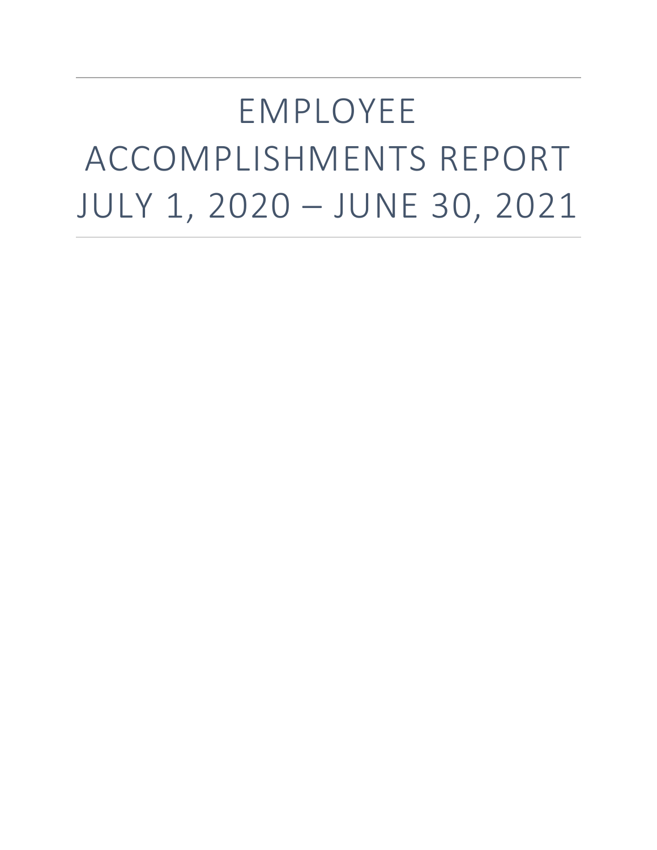# EMPLOYEE ACCOMPLISHMENTS REPORT JULY 1, 2020 – JUNE 30, 2021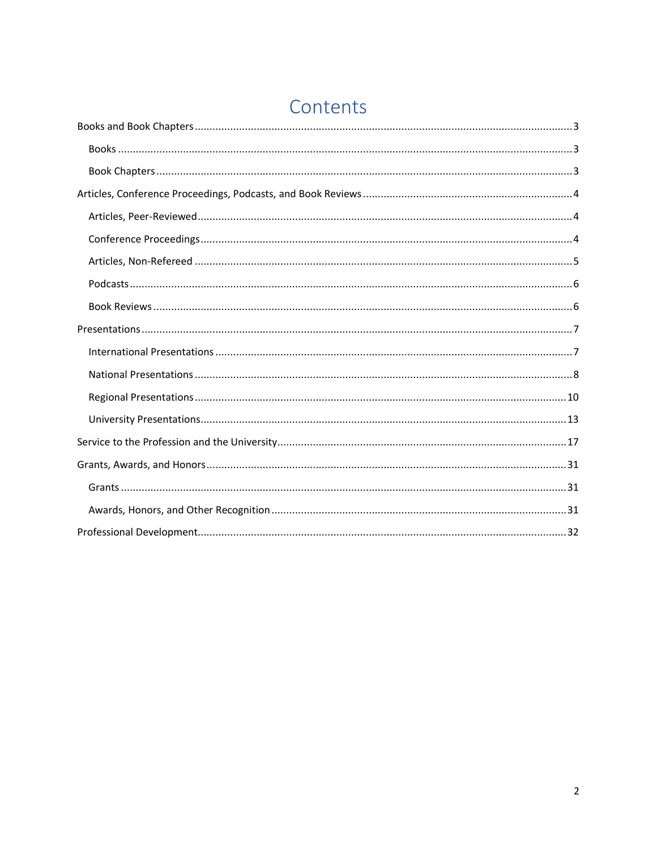# Contents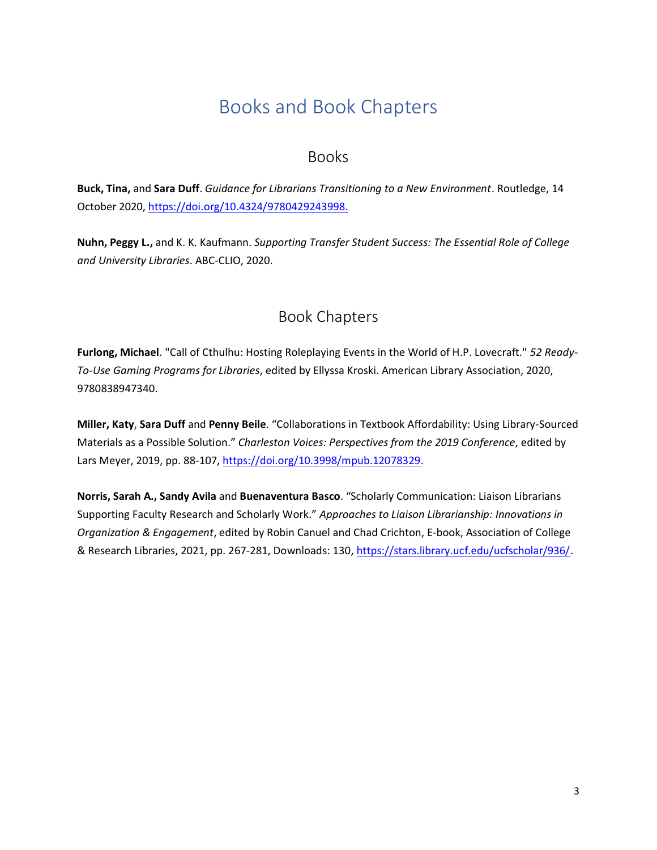# Books and Book Chapters

### Books

<span id="page-3-1"></span><span id="page-3-0"></span>**Buck, Tina,** and **Sara Duff**. *Guidance for Librarians Transitioning to a New Environment*. Routledge, 14 October 2020, [https://doi.org/10.4324/9780429243998.](https://doi.org/10.4324/9780429243998)

**Nuhn, Peggy L.,** and K. K. Kaufmann. *Supporting Transfer Student Success: The Essential Role of College and University Libraries*. ABC-CLIO, 2020.

## Book Chapters

<span id="page-3-2"></span>**Furlong, Michael**. "Call of Cthulhu: Hosting Roleplaying Events in the World of H.P. Lovecraft." *52 Ready-To-Use Gaming Programs for Libraries*, edited by Ellyssa Kroski. American Library Association, 2020, 9780838947340.

**Miller, Katy**, **Sara Duff** and **Penny Beile**. "Collaborations in Textbook Affordability: Using Library-Sourced Materials as a Possible Solution." *Charleston Voices: Perspectives from the 2019 Conference*, edited by Lars Meyer, 2019, pp. 88-107, [https://doi.org/10.3998/mpub.12078329.](https://nam02.safelinks.protection.outlook.com/?url=https%3A%2F%2Fdoi.org%2F10.3998%2Fmpub.12078329&data=04%7C01%7CCindy%40ucf.edu%7Cadd87f4d2958423b0b2108d9ab97c21a%7Cbb932f15ef3842ba91fcf3c59d5dd1f1%7C0%7C0%7C637729490542528117%7CUnknown%7CTWFpbGZsb3d8eyJWIjoiMC4wLjAwMDAiLCJQIjoiV2luMzIiLCJBTiI6Ik1haWwiLCJXVCI6Mn0%3D%7C3000&sdata=U6jP5DjEtkiebnQ3F6DfS4%2FTk0kJozc%2F6CPYdRTKnf0%3D&reserved=0)

**Norris, Sarah A., Sandy Avila** and **Buenaventura Basco**. "Scholarly Communication: Liaison Librarians Supporting Faculty Research and Scholarly Work." *Approaches to Liaison Librarianship: Innovations in Organization & Engagement*, edited by Robin Canuel and Chad Crichton, E-book, Association of College & Research Libraries, 2021, pp. 267-281, Downloads: 130, [https://stars.library.ucf.edu/ucfscholar/936/.](https://stars.library.ucf.edu/ucfscholar/936/)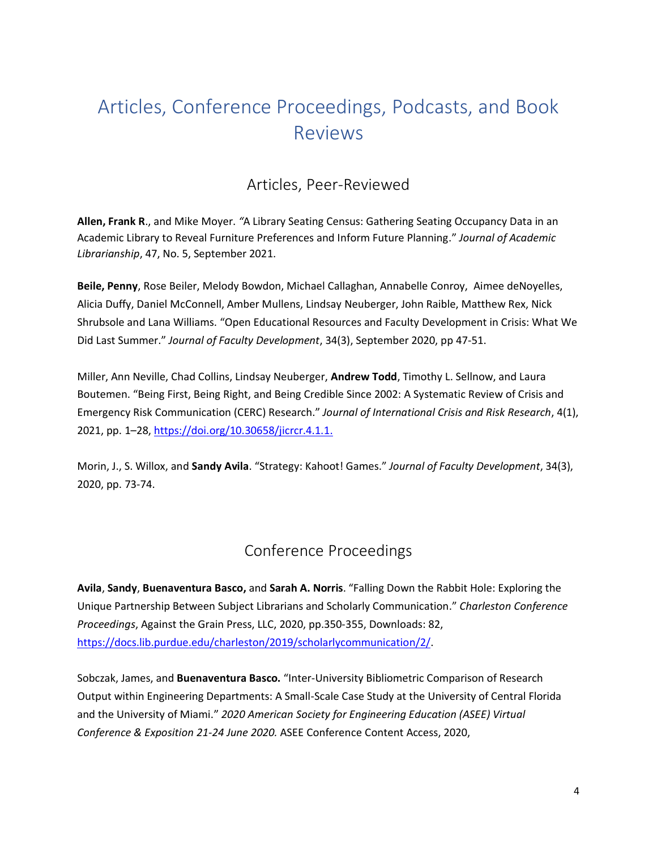# <span id="page-4-0"></span>Articles, Conference Proceedings, Podcasts, and Book Reviews

## Articles, Peer-Reviewed

<span id="page-4-1"></span>**Allen, Frank R**., and Mike Moyer. *"*A Library Seating Census: Gathering Seating Occupancy Data in an Academic Library to Reveal Furniture Preferences and Inform Future Planning." *Journal of Academic Librarianship*, 47, No. 5, September 2021.

**Beile, Penny**, Rose Beiler, Melody Bowdon, Michael Callaghan, Annabelle Conroy, Aimee deNoyelles, Alicia Duffy, Daniel McConnell, Amber Mullens, Lindsay Neuberger, John Raible, Matthew Rex, Nick Shrubsole and Lana Williams. "Open Educational Resources and Faculty Development in Crisis: What We Did Last Summer." *Journal of Faculty Development*, 34(3), September 2020, pp 47-51.

Miller, Ann Neville, Chad Collins, Lindsay Neuberger, **Andrew Todd**, Timothy L. Sellnow, and Laura Boutemen. "Being First, Being Right, and Being Credible Since 2002: A Systematic Review of Crisis and Emergency Risk Communication (CERC) Research." *Journal of International Crisis and Risk Research*, 4(1), 2021, pp. 1–28, [https://doi.org/10.30658/jicrcr.4.1.1.](https://doi.org/10.30658/jicrcr.4.1.1)

Morin, J., S. Willox, and **Sandy Avila**. "Strategy: Kahoot! Games." *Journal of Faculty Development*, 34(3), 2020, pp. 73-74.

## Conference Proceedings

<span id="page-4-2"></span>**Avila**, **Sandy**, **Buenaventura Basco,** and **Sarah A. Norris**. "Falling Down the Rabbit Hole: Exploring the Unique Partnership Between Subject Librarians and Scholarly Communication." *Charleston Conference Proceedings*, Against the Grain Press, LLC, 2020, pp.350-355, Downloads: 82, [https://docs.lib.purdue.edu/charleston/2019/scholarlycommunication/2/.](https://nam02.safelinks.protection.outlook.com/?url=https%3A%2F%2Fdocs.lib.purdue.edu%2Fcharleston%2F2019%2Fscholarlycommunication%2F2%2F&data=04%7C01%7CPBeile%40ucf.edu%7Cc5da9b02da29463e43ab08d9738c32e2%7Cbb932f15ef3842ba91fcf3c59d5dd1f1%7C0%7C0%7C637667868252050507%7CUnknown%7CTWFpbGZsb3d8eyJWIjoiMC4wLjAwMDAiLCJQIjoiV2luMzIiLCJBTiI6Ik1haWwiLCJXVCI6Mn0%3D%7C1000&sdata=SOxlkigRIkV3oPL74CbD1TKlZaS%2FoalxP2S1uPKA28E%3D&reserved=0)

Sobczak, James, and **Buenaventura Basco.** "Inter-University Bibliometric Comparison of Research Output within Engineering Departments: A Small-Scale Case Study at the University of Central Florida and the University of Miami." *2020 American Society for Engineering Education (ASEE) Virtual Conference & Exposition 21-24 June 2020.* ASEE Conference Content Access, 2020,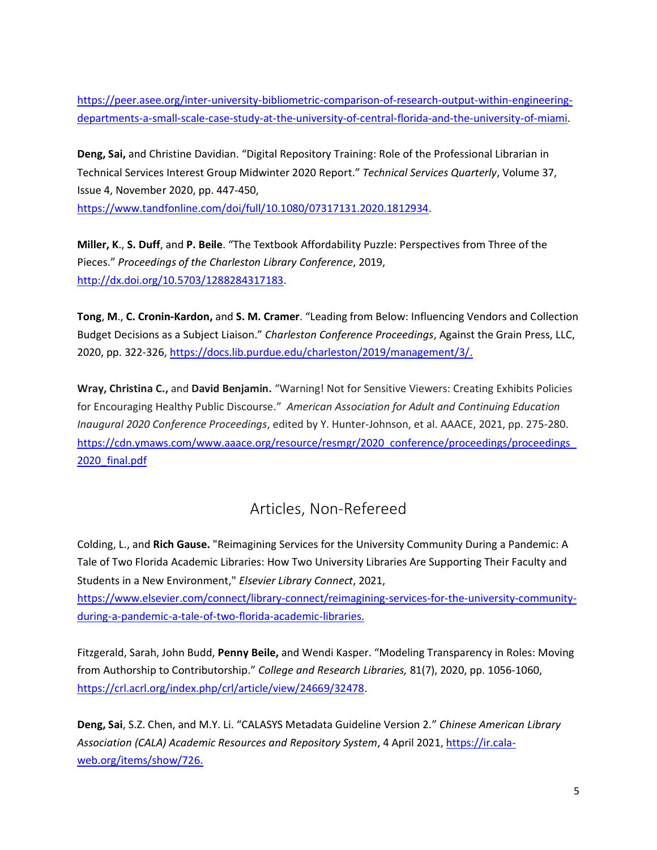[https://peer.asee.org/inter-university-bibliometric-comparison-of-research-output-within-engineering](https://nam02.safelinks.protection.outlook.com/?url=https%3A%2F%2Fpeer.asee.org%2Finter-university-bibliometric-comparison-of-research-output-within-engineering-departments-a-small-scale-case-study-at-the-university-of-central-florida-and-the-university-of-miami&data=04%7C01%7CCindy%40ucf.edu%7C204df4e8eb4a484744c908d9addcbb1d%7Cbb932f15ef3842ba91fcf3c59d5dd1f1%7C0%7C0%7C637731985800614148%7CUnknown%7CTWFpbGZsb3d8eyJWIjoiMC4wLjAwMDAiLCJQIjoiV2luMzIiLCJBTiI6Ik1haWwiLCJXVCI6Mn0%3D%7C3000&sdata=Bf5wX69aXh4rPsDFe%2BTtvooWNAyVzhOsqRfwE3Z7Sos%3D&reserved=0)[departments-a-small-scale-case-study-at-the-university-of-central-florida-and-the-university-of-miami.](https://nam02.safelinks.protection.outlook.com/?url=https%3A%2F%2Fpeer.asee.org%2Finter-university-bibliometric-comparison-of-research-output-within-engineering-departments-a-small-scale-case-study-at-the-university-of-central-florida-and-the-university-of-miami&data=04%7C01%7CCindy%40ucf.edu%7C204df4e8eb4a484744c908d9addcbb1d%7Cbb932f15ef3842ba91fcf3c59d5dd1f1%7C0%7C0%7C637731985800614148%7CUnknown%7CTWFpbGZsb3d8eyJWIjoiMC4wLjAwMDAiLCJQIjoiV2luMzIiLCJBTiI6Ik1haWwiLCJXVCI6Mn0%3D%7C3000&sdata=Bf5wX69aXh4rPsDFe%2BTtvooWNAyVzhOsqRfwE3Z7Sos%3D&reserved=0)

**Deng, Sai,** and Christine Davidian. "Digital Repository Training: Role of the Professional Librarian in Technical Services Interest Group Midwinter 2020 Report." *Technical Services Quarterly*, Volume 37, Issue 4, November 2020, pp. 447-450,

[https://www.tandfonline.com/doi/full/10.1080/07317131.2020.1812934.](https://www.tandfonline.com/doi/full/10.1080/07317131.2020.1812934)

**Miller, K**., **S. Duff**, and **P. Beile**. "The Textbook Affordability Puzzle: Perspectives from Three of the Pieces." *Proceedings of the Charleston Library Conference*, 2019, [http://dx.doi.org/10.5703/1288284317183.](http://dx.doi.org/10.5703/1288284317183)

**Tong**, **M**., **C. Cronin-Kardon,** and **S. M. Cramer**. "Leading from Below: Influencing Vendors and Collection Budget Decisions as a Subject Liaison." *Charleston Conference Proceedings*, Against the Grain Press, LLC, 2020, pp. 322-326, [https://docs.lib.purdue.edu/charleston/2019/management/3/.](https://docs.lib.purdue.edu/charleston/2019/management/3/)

**Wray, Christina C.,** and **David Benjamin.** "Warning! Not for Sensitive Viewers: Creating Exhibits Policies for Encouraging Healthy Public Discourse." *American Association for Adult and Continuing Education Inaugural 2020 Conference Proceedings*, edited by Y. Hunter-Johnson, et al. AAACE, 2021, pp. 275-280. [https://cdn.ymaws.com/www.aaace.org/resource/resmgr/2020\\_conference/proceedings/proceedings\\_](https://cdn.ymaws.com/www.aaace.org/resource/resmgr/2020_conference/proceedings/proceedings_2020_final.pdf) [2020\\_final.pdf](https://cdn.ymaws.com/www.aaace.org/resource/resmgr/2020_conference/proceedings/proceedings_2020_final.pdf)

## Articles, Non-Refereed

<span id="page-5-0"></span>Colding, L., and **Rich Gause.** "Reimagining Services for the University Community During a Pandemic: A Tale of Two Florida Academic Libraries: How Two University Libraries Are Supporting Their Faculty and Students in a New Environment," *Elsevier Library Connect*, 2021,

[https://www.elsevier.com/connect/library-connect/reimagining-services-for-the-university-community](https://www.elsevier.com/connect/library-connect/reimagining-services-for-the-university-community-during-a-pandemic-a-tale-of-two-florida-academic-libraries)[during-a-pandemic-a-tale-of-two-florida-academic-libraries.](https://www.elsevier.com/connect/library-connect/reimagining-services-for-the-university-community-during-a-pandemic-a-tale-of-two-florida-academic-libraries)

Fitzgerald, Sarah, John Budd, **Penny Beile,** and Wendi Kasper. "Modeling Transparency in Roles: Moving from Authorship to Contributorship." *College and Research Libraries,* 81(7), 2020, pp. 1056-1060, [https://crl.acrl.org/index.php/crl/article/view/24669/32478.](https://crl.acrl.org/index.php/crl/article/view/24669/32478)

**Deng, Sai**, S.Z. Chen, and M.Y. Li. "CALASYS Metadata Guideline Version 2." *Chinese American Library Association (CALA) Academic Resources and Repository System*, 4 April 2021, [https://ir.cala](https://ir.cala-web.org/items/show/726)[web.org/items/show/726.](https://ir.cala-web.org/items/show/726)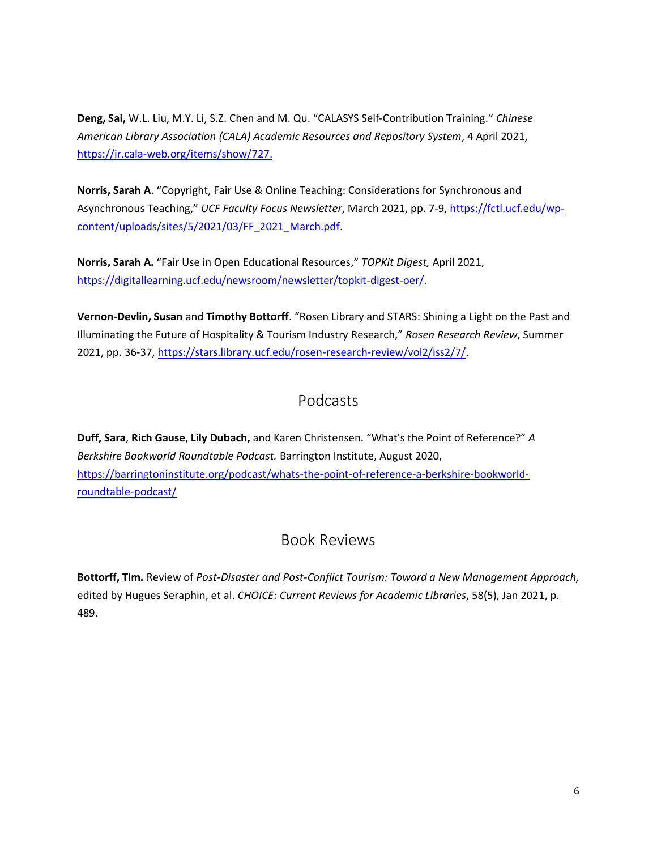**Deng, Sai,** W.L. Liu, M.Y. Li, S.Z. Chen and M. Qu. "CALASYS Self-Contribution Training." *Chinese American Library Association (CALA) Academic Resources and Repository System*, 4 April 2021, [https://ir.cala-web.org/items/show/727.](https://ir.cala-web.org/items/show/727)

**Norris, Sarah A**. "Copyright, Fair Use & Online Teaching: Considerations for Synchronous and Asynchronous Teaching," *UCF Faculty Focus Newsletter*, March 2021, pp. 7-9, [https://fctl.ucf.edu/wp](https://fctl.ucf.edu/wp-content/uploads/sites/5/2021/03/FF_2021_March.pdf)[content/uploads/sites/5/2021/03/FF\\_2021\\_March.pdf.](https://fctl.ucf.edu/wp-content/uploads/sites/5/2021/03/FF_2021_March.pdf)

**Norris, Sarah A.** "Fair Use in Open Educational Resources," *TOPKit Digest,* April 2021, [https://digitallearning.ucf.edu/newsroom/newsletter/topkit-digest-oer/.](https://digitallearning.ucf.edu/newsroom/newsletter/topkit-digest-oer/)

**Vernon-Devlin, Susan** and **Timothy Bottorff**. "Rosen Library and STARS: Shining a Light on the Past and Illuminating the Future of Hospitality & Tourism Industry Research," *Rosen Research Review*, Summer 2021, pp. 36-37, [https://stars.library.ucf.edu/rosen-research-review/vol2/iss2/7/.](https://stars.library.ucf.edu/rosen-research-review/vol2/iss2/7/)

## Podcasts

<span id="page-6-0"></span>**Duff, Sara**, **Rich Gause**, **Lily Dubach,** and Karen Christensen. "What's the Point of Reference?" *A Berkshire Bookworld Roundtable Podcast.* Barrington Institute, August 2020, [https://barringtoninstitute.org/podcast/whats-the-point-of-reference-a-berkshire-bookworld](https://barringtoninstitute.org/podcast/whats-the-point-of-reference-a-berkshire-bookworld-roundtable-podcast/)[roundtable-podcast/](https://barringtoninstitute.org/podcast/whats-the-point-of-reference-a-berkshire-bookworld-roundtable-podcast/)

## Book Reviews

<span id="page-6-1"></span>**Bottorff, Tim.** Review of *Post-Disaster and Post-Conflict Tourism: Toward a New Management Approach,* edited by Hugues Seraphin, et al. *CHOICE: Current Reviews for Academic Libraries*, 58(5), Jan 2021, p. 489.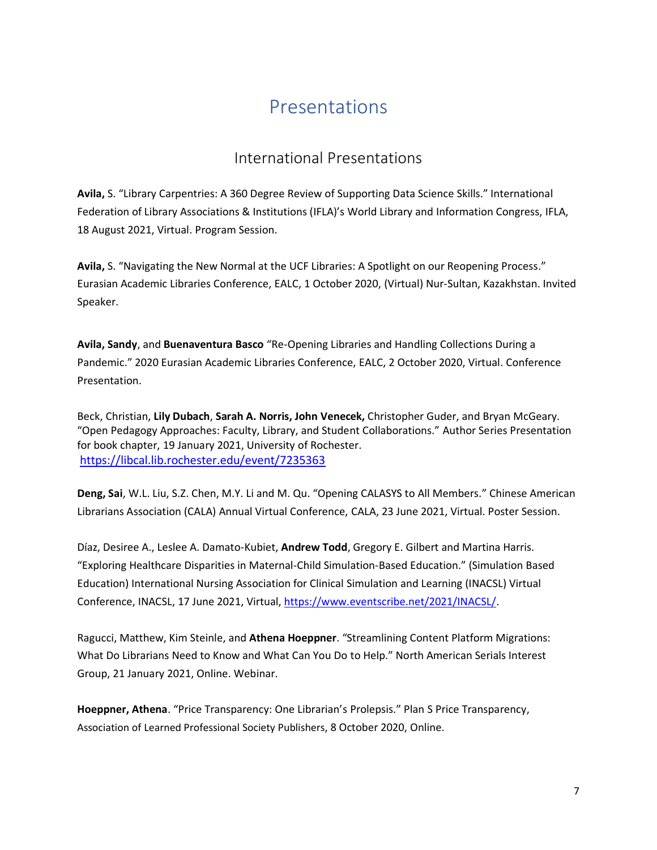# Presentations

## International Presentations

<span id="page-7-1"></span><span id="page-7-0"></span>**Avila,** S. "Library Carpentries: A 360 Degree Review of Supporting Data Science Skills." International Federation of Library Associations & Institutions (IFLA)'s World Library and Information Congress, IFLA, 18 August 2021, Virtual. Program Session.

**Avila,** S. "Navigating the New Normal at the UCF Libraries: A Spotlight on our Reopening Process." Eurasian Academic Libraries Conference, EALC, 1 October 2020, (Virtual) Nur-Sultan, Kazakhstan. Invited Speaker.

**Avila, Sandy**, and **Buenaventura Basco** "Re-Opening Libraries and Handling Collections During a Pandemic." 2020 Eurasian Academic Libraries Conference, EALC, 2 October 2020, Virtual. Conference Presentation.

Beck, Christian, **Lily Dubach**, **Sarah A. Norris, John Venecek,** Christopher Guder, and Bryan McGeary. "Open Pedagogy Approaches: Faculty, Library, and Student Collaborations." Author Series Presentation for book chapter, 19 January 2021, University of Rochester. [https://libcal.lib.rochester.edu/event/7235363](https://nam02.safelinks.protection.outlook.com/?url=https%3A%2F%2Flibcal.lib.rochester.edu%2Fevent%2F7235363&data=04%7C01%7CCindy%40ucf.edu%7Cdf27a00e549546b8e0ff08d9f1594406%7Cbb932f15ef3842ba91fcf3c59d5dd1f1%7C0%7C0%7C637806187956038999%7CUnknown%7CTWFpbGZsb3d8eyJWIjoiMC4wLjAwMDAiLCJQIjoiV2luMzIiLCJBTiI6Ik1haWwiLCJXVCI6Mn0%3D%7C3000&sdata=%2BIJZQkqZpdOdVA9QkOrD5mT%2BK1YcbaBPrSLuBzmFZQA%3D&reserved=0)

**Deng, Sai**, W.L. Liu, S.Z. Chen, M.Y. Li and M. Qu. "Opening CALASYS to All Members." Chinese American Librarians Association (CALA) Annual Virtual Conference, CALA, 23 June 2021, Virtual. Poster Session.

Díaz, Desiree A., Leslee A. Damato-Kubiet, **Andrew Todd**, Gregory E. Gilbert and Martina Harris. "Exploring Healthcare Disparities in Maternal-Child Simulation-Based Education." (Simulation Based Education) International Nursing Association for Clinical Simulation and Learning (INACSL) Virtual Conference, INACSL, 17 June 2021, Virtual, [https://www.eventscribe.net/2021/INACSL/.](https://www.eventscribe.net/2021/INACSL/)

Ragucci, Matthew, Kim Steinle, and **Athena Hoeppner**. "Streamlining Content Platform Migrations: What Do Librarians Need to Know and What Can You Do to Help." North American Serials Interest Group, 21 January 2021, Online. Webinar.

**Hoeppner, Athena**. "Price Transparency: One Librarian's Prolepsis." Plan S Price Transparency, Association of Learned Professional Society Publishers, 8 October 2020, Online.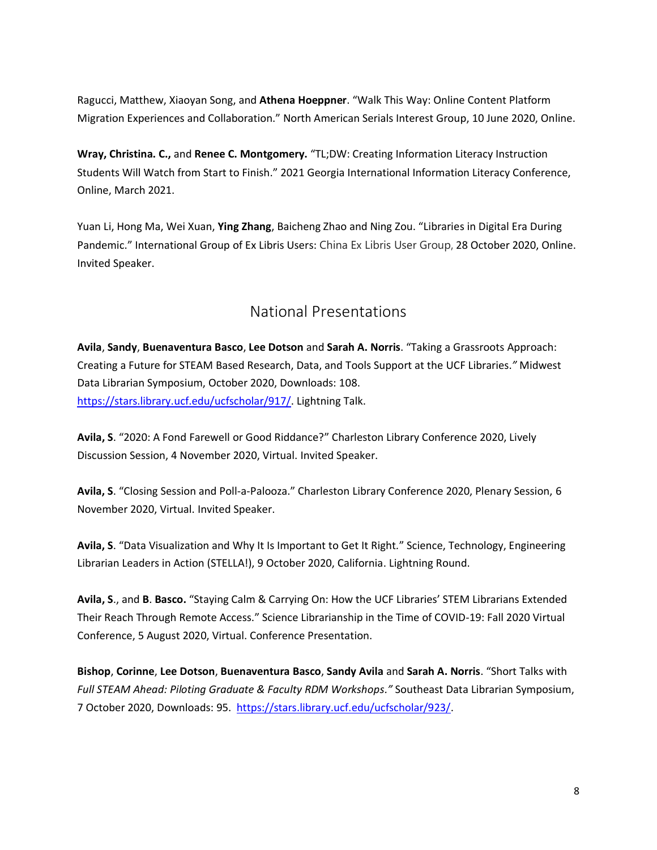Ragucci, Matthew, Xiaoyan Song, and **Athena Hoeppner**. "Walk This Way: Online Content Platform Migration Experiences and Collaboration." North American Serials Interest Group, 10 June 2020, Online.

**Wray, Christina. C.,** and **Renee C. Montgomery.** "TL;DW: Creating Information Literacy Instruction Students Will Watch from Start to Finish." 2021 Georgia International Information Literacy Conference, Online, March 2021.

Yuan Li, Hong Ma, Wei Xuan, **Ying Zhang**, Baicheng Zhao and Ning Zou. "Libraries in Digital Era During Pandemic." International Group of Ex Libris Users: China Ex Libris User Group, 28 October 2020, Online. Invited Speaker.

## National Presentations

<span id="page-8-0"></span>**Avila**, **Sandy**, **Buenaventura Basco**, **Lee Dotson** and **Sarah A. Norris**. "Taking a Grassroots Approach: Creating a Future for STEAM Based Research, Data, and Tools Support at the UCF Libraries.*"* Midwest Data Librarian Symposium, October 2020, Downloads: 108. [https://stars.library.ucf.edu/ucfscholar/917/.](https://nam02.safelinks.protection.outlook.com/?url=https%3A%2F%2Fstars.library.ucf.edu%2Fucfscholar%2F917%2F&data=04%7C01%7CPBeile%40ucf.edu%7Cc5da9b02da29463e43ab08d9738c32e2%7Cbb932f15ef3842ba91fcf3c59d5dd1f1%7C0%7C0%7C637667868252080486%7CUnknown%7CTWFpbGZsb3d8eyJWIjoiMC4wLjAwMDAiLCJQIjoiV2luMzIiLCJBTiI6Ik1haWwiLCJXVCI6Mn0%3D%7C1000&sdata=4nutatVHBKwGTQVOMvgTQ%2B5CIFLfj7AoiQ0njw%2FhLHQ%3D&reserved=0) Lightning Talk.

**Avila, S**. "2020: A Fond Farewell or Good Riddance?" Charleston Library Conference 2020, Lively Discussion Session, 4 November 2020, Virtual. Invited Speaker.

**Avila, S**. "Closing Session and Poll-a-Palooza." Charleston Library Conference 2020, Plenary Session, 6 November 2020, Virtual. Invited Speaker.

**Avila, S**. "Data Visualization and Why It Is Important to Get It Right*.*" Science, Technology, Engineering Librarian Leaders in Action (STELLA!), 9 October 2020, California. Lightning Round.

**Avila, S**., and **B**. **Basco.** "Staying Calm & Carrying On: How the UCF Libraries' STEM Librarians Extended Their Reach Through Remote Access." Science Librarianship in the Time of COVID-19: Fall 2020 Virtual Conference, 5 August 2020, Virtual. Conference Presentation.

**Bishop**, **Corinne**, **Lee Dotson**, **Buenaventura Basco**, **Sandy Avila** and **Sarah A. Norris**. "Short Talks with *Full STEAM Ahead: Piloting Graduate & Faculty RDM Workshops."* Southeast Data Librarian Symposium, 7 October 2020, Downloads: 95. [https://stars.library.ucf.edu/ucfscholar/923/.](https://nam02.safelinks.protection.outlook.com/?url=https%3A%2F%2Fstars.library.ucf.edu%2Fucfscholar%2F923%2F&data=04%7C01%7CPBeile%40ucf.edu%7Cc5da9b02da29463e43ab08d9738c32e2%7Cbb932f15ef3842ba91fcf3c59d5dd1f1%7C0%7C0%7C637667868252090483%7CUnknown%7CTWFpbGZsb3d8eyJWIjoiMC4wLjAwMDAiLCJQIjoiV2luMzIiLCJBTiI6Ik1haWwiLCJXVCI6Mn0%3D%7C1000&sdata=3Z5g1QGD9hZRyhn95P9UQyT9LhEP3MFAiK73tTxvkLQ%3D&reserved=0)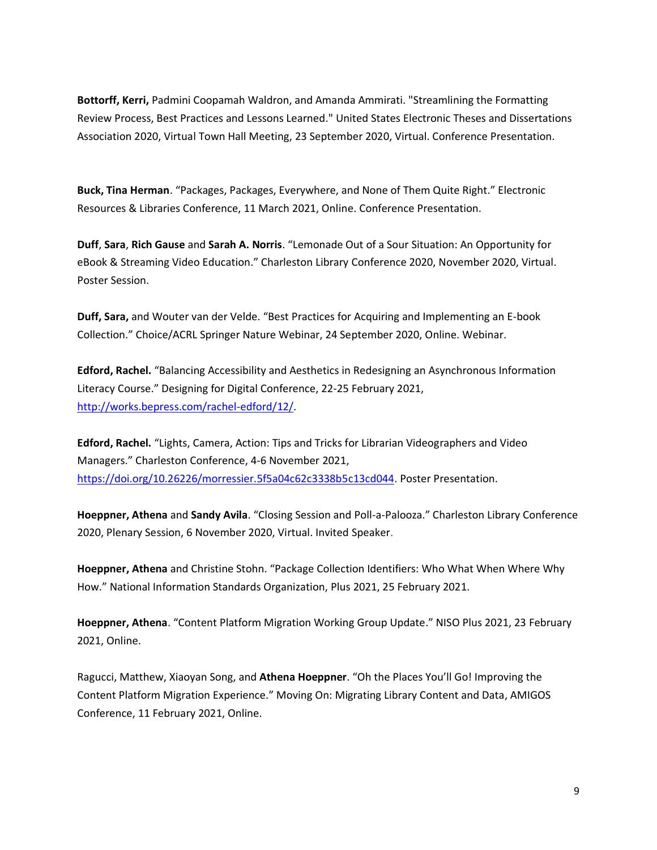**Bottorff, Kerri,** Padmini Coopamah Waldron, and Amanda Ammirati. "Streamlining the Formatting Review Process, Best Practices and Lessons Learned." United States Electronic Theses and Dissertations Association 2020, Virtual Town Hall Meeting, 23 September 2020, Virtual. Conference Presentation.

**Buck, Tina Herman**. "Packages, Packages, Everywhere, and None of Them Quite Right." Electronic Resources & Libraries Conference, 11 March 2021, Online. Conference Presentation.

**Duff**, **Sara**, **Rich Gause** and **Sarah A. Norris**. "Lemonade Out of a Sour Situation: An Opportunity for eBook & Streaming Video Education." Charleston Library Conference 2020, November 2020, Virtual. Poster Session.

**Duff, Sara,** and Wouter van der Velde. "Best Practices for Acquiring and Implementing an E-book Collection." Choice/ACRL Springer Nature Webinar, 24 September 2020, Online. Webinar.

**Edford, Rachel.** "Balancing Accessibility and Aesthetics in Redesigning an Asynchronous Information Literacy Course." Designing for Digital Conference, 22-25 February 2021, [http://works.bepress.com/rachel-edford/12/.](http://works.bepress.com/rachel-edford/12/)

**Edford, Rachel.** "Lights, Camera, Action: Tips and Tricks for Librarian Videographers and Video Managers." Charleston Conference, 4-6 November 2021, [https://doi.org/10.26226/morressier.5f5a04c62c3338b5c13cd044.](https://doi.org/10.26226/morressier.5f5a04c62c3338b5c13cd044) Poster Presentation.

**Hoeppner, Athena** and **Sandy Avila**. "Closing Session and Poll-a-Palooza." Charleston Library Conference 2020, Plenary Session, 6 November 2020, Virtual. Invited Speaker.

**Hoeppner, Athena** and Christine Stohn. "Package Collection Identifiers: Who What When Where Why How." National Information Standards Organization, Plus 2021, 25 February 2021.

**Hoeppner, Athena**. "Content Platform Migration Working Group Update." NISO Plus 2021, 23 February 2021, Online.

Ragucci, Matthew, Xiaoyan Song, and **Athena Hoeppner**. "Oh the Places You'll Go! Improving the Content Platform Migration Experience." Moving On: Migrating Library Content and Data, AMIGOS Conference, 11 February 2021, Online.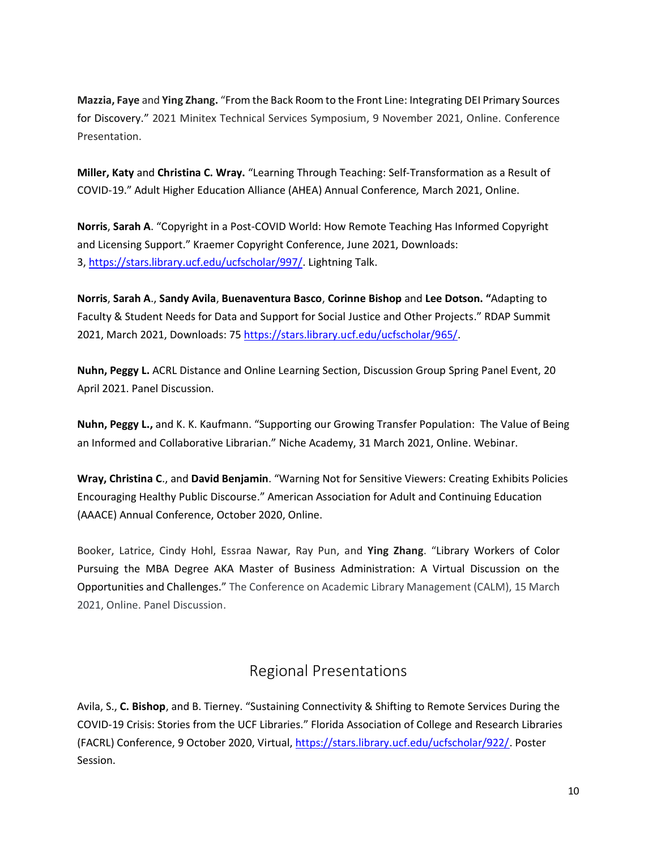**Mazzia, Faye** and **Ying Zhang.** "From the Back Room to the Front Line: Integrating DEI Primary Sources for Discovery." 2021 Minitex Technical Services Symposium, 9 November 2021, Online. Conference Presentation.

**Miller, Katy** and **Christina C. Wray.** "Learning Through Teaching: Self-Transformation as a Result of COVID-19." Adult Higher Education Alliance (AHEA) Annual Conference*,* March 2021, Online.

**Norris**, **Sarah A**. "Copyright in a Post-COVID World: How Remote Teaching Has Informed Copyright and Licensing Support." Kraemer Copyright Conference, June 2021, Downloads: 3, [https://stars.library.ucf.edu/ucfscholar/997/.](https://nam02.safelinks.protection.outlook.com/?url=https%3A%2F%2Fstars.library.ucf.edu%2Fucfscholar%2F997%2F&data=04%7C01%7CPBeile%40ucf.edu%7Cc5da9b02da29463e43ab08d9738c32e2%7Cbb932f15ef3842ba91fcf3c59d5dd1f1%7C0%7C0%7C637667868252070493%7CUnknown%7CTWFpbGZsb3d8eyJWIjoiMC4wLjAwMDAiLCJQIjoiV2luMzIiLCJBTiI6Ik1haWwiLCJXVCI6Mn0%3D%7C1000&sdata=8r9qrNSkkj09CoF%2BbxuRgZZN%2Bkmmvat6yKMKimtPrDA%3D&reserved=0) Lightning Talk.

**Norris**, **Sarah A**., **Sandy Avila**, **Buenaventura Basco**, **Corinne Bishop** and **Lee Dotson. "**Adapting to Faculty & Student Needs for Data and Support for Social Justice and Other Projects." RDAP Summit 2021, March 2021, Downloads: 75 [https://stars.library.ucf.edu/ucfscholar/965/.](https://nam02.safelinks.protection.outlook.com/?url=https%3A%2F%2Fstars.library.ucf.edu%2Fucfscholar%2F965%2F&data=04%7C01%7CPBeile%40ucf.edu%7Cc5da9b02da29463e43ab08d9738c32e2%7Cbb932f15ef3842ba91fcf3c59d5dd1f1%7C0%7C0%7C637667868252070493%7CUnknown%7CTWFpbGZsb3d8eyJWIjoiMC4wLjAwMDAiLCJQIjoiV2luMzIiLCJBTiI6Ik1haWwiLCJXVCI6Mn0%3D%7C1000&sdata=6Pa3llHEIyx0q%2B%2BIVncnl3WwSU728LCflDK7TBzXmDY%3D&reserved=0)

**Nuhn, Peggy L.** ACRL Distance and Online Learning Section, Discussion Group Spring Panel Event, 20 April 2021. Panel Discussion.

**Nuhn, Peggy L.,** and K. K. Kaufmann. "Supporting our Growing Transfer Population: The Value of Being an Informed and Collaborative Librarian." Niche Academy, 31 March 2021, Online. Webinar.

**Wray, Christina C**., and **David Benjamin**. "Warning Not for Sensitive Viewers: Creating Exhibits Policies Encouraging Healthy Public Discourse." American Association for Adult and Continuing Education (AAACE) Annual Conference, October 2020, Online.

Booker, Latrice, Cindy Hohl, Essraa Nawar, Ray Pun, and **Ying Zhang**. "Library Workers of Color Pursuing the MBA Degree AKA Master of Business Administration: A Virtual Discussion on the Opportunities and Challenges." The Conference on Academic Library Management (CALM), 15 March 2021, Online. Panel Discussion.

## Regional Presentations

<span id="page-10-0"></span>Avila, S., **C. Bishop**, and B. Tierney. "Sustaining Connectivity & Shifting to Remote Services During the COVID-19 Crisis: Stories from the UCF Libraries." Florida Association of College and Research Libraries (FACRL) Conference, 9 October 2020, Virtual, [https://stars.library.ucf.edu/ucfscholar/922/.](https://stars.library.ucf.edu/ucfscholar/922/) Poster Session.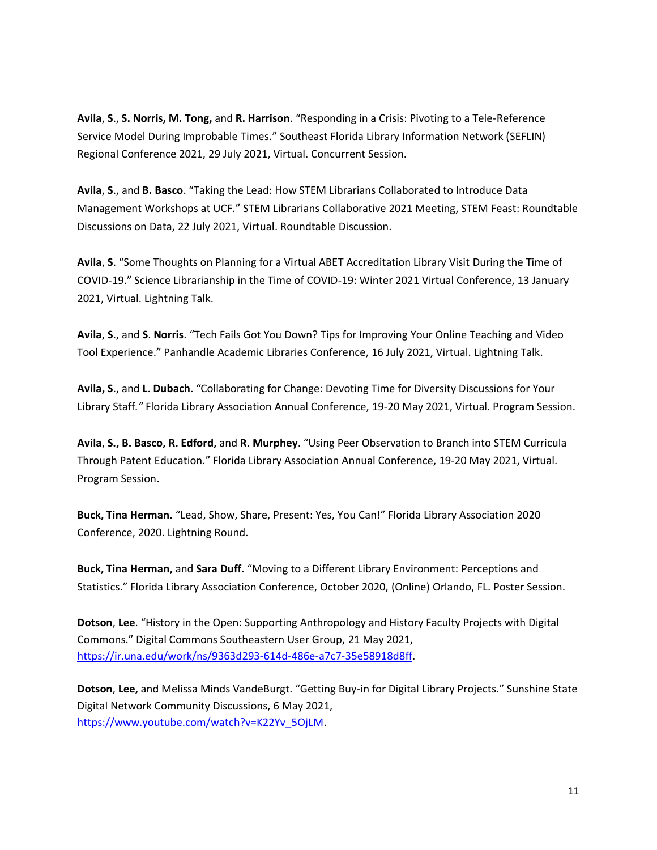**Avila**, **S**., **S. Norris, M. Tong,** and **R. Harrison**. "Responding in a Crisis: Pivoting to a Tele-Reference Service Model During Improbable Times." Southeast Florida Library Information Network (SEFLIN) Regional Conference 2021, 29 July 2021, Virtual. Concurrent Session.

**Avila**, **S**., and **B. Basco**. "Taking the Lead: How STEM Librarians Collaborated to Introduce Data Management Workshops at UCF." STEM Librarians Collaborative 2021 Meeting, STEM Feast: Roundtable Discussions on Data, 22 July 2021, Virtual. Roundtable Discussion.

**Avila**, **S**. "Some Thoughts on Planning for a Virtual ABET Accreditation Library Visit During the Time of COVID-19." Science Librarianship in the Time of COVID-19: Winter 2021 Virtual Conference, 13 January 2021, Virtual. Lightning Talk.

**Avila**, **S**., and **S**. **Norris**. "Tech Fails Got You Down? Tips for Improving Your Online Teaching and Video Tool Experience." Panhandle Academic Libraries Conference, 16 July 2021, Virtual. Lightning Talk.

**Avila, S**., and **L**. **Dubach**. "Collaborating for Change: Devoting Time for Diversity Discussions for Your Library Staff.*"* Florida Library Association Annual Conference, 19-20 May 2021, Virtual. Program Session.

**Avila**, **S., B. Basco, R. Edford,** and **R. Murphey**. "Using Peer Observation to Branch into STEM Curricula Through Patent Education." Florida Library Association Annual Conference, 19-20 May 2021, Virtual. Program Session.

**Buck, Tina Herman.** "Lead, Show, Share, Present: Yes, You Can!" Florida Library Association 2020 Conference, 2020. Lightning Round.

**Buck, Tina Herman,** and **Sara Duff**. "Moving to a Different Library Environment: Perceptions and Statistics." Florida Library Association Conference, October 2020, (Online) Orlando, FL. Poster Session.

**Dotson**, **Lee**. "History in the Open: Supporting Anthropology and History Faculty Projects with Digital Commons." Digital Commons Southeastern User Group, 21 May 2021, [https://ir.una.edu/work/ns/9363d293-614d-486e-a7c7-35e58918d8ff.](https://ir.una.edu/work/ns/9363d293-614d-486e-a7c7-35e58918d8ff)

**Dotson**, **Lee,** and Melissa Minds VandeBurgt. "Getting Buy-in for Digital Library Projects." Sunshine State Digital Network Community Discussions, 6 May 2021, [https://www.youtube.com/watch?v=K22Yv\\_5OjLM.](https://www.youtube.com/watch?v=K22Yv_5OjLM)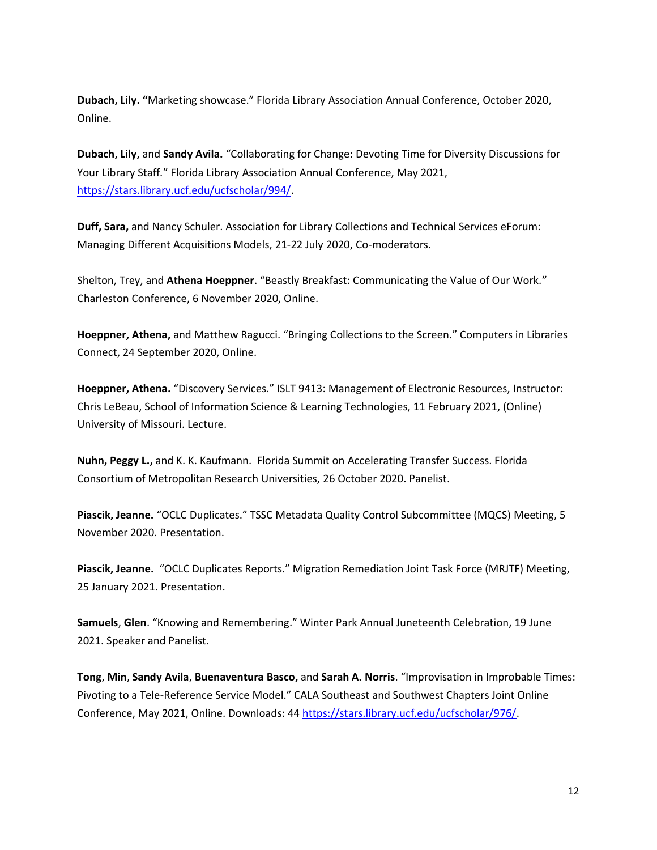**Dubach, Lily. "**Marketing showcase." Florida Library Association Annual Conference, October 2020, Online.

**Dubach, Lily,** and **Sandy Avila.** "Collaborating for Change: Devoting Time for Diversity Discussions for Your Library Staff." Florida Library Association Annual Conference, May 2021, [https://stars.library.ucf.edu/ucfscholar/994/.](https://stars.library.ucf.edu/ucfscholar/994/)

**Duff, Sara,** and Nancy Schuler. Association for Library Collections and Technical Services eForum: Managing Different Acquisitions Models, 21-22 July 2020, Co-moderators.

Shelton, Trey, and **Athena Hoeppner**. "Beastly Breakfast: Communicating the Value of Our Work." Charleston Conference, 6 November 2020, Online.

**Hoeppner, Athena,** and Matthew Ragucci. "Bringing Collections to the Screen." Computers in Libraries Connect, 24 September 2020, Online.

**Hoeppner, Athena.** "Discovery Services." ISLT 9413: Management of Electronic Resources, Instructor: Chris LeBeau, School of Information Science & Learning Technologies, 11 February 2021, (Online) University of Missouri. Lecture.

**Nuhn, Peggy L.,** and K. K. Kaufmann. Florida Summit on Accelerating Transfer Success. Florida Consortium of Metropolitan Research Universities, 26 October 2020. Panelist.

**Piascik, Jeanne.** "OCLC Duplicates." TSSC Metadata Quality Control Subcommittee (MQCS) Meeting, 5 November 2020. Presentation.

**Piascik, Jeanne.** "OCLC Duplicates Reports." Migration Remediation Joint Task Force (MRJTF) Meeting, 25 January 2021. Presentation.

**Samuels**, **Glen**. "Knowing and Remembering." Winter Park Annual Juneteenth Celebration, 19 June 2021. Speaker and Panelist.

**Tong**, **Min**, **Sandy Avila**, **Buenaventura Basco,** and **Sarah A. Norris**. "Improvisation in Improbable Times: Pivoting to a Tele-Reference Service Model." CALA Southeast and Southwest Chapters Joint Online Conference, May 2021, Online. Downloads: 44 [https://stars.library.ucf.edu/ucfscholar/976/.](https://nam02.safelinks.protection.outlook.com/?url=https%3A%2F%2Fstars.library.ucf.edu%2Fucfscholar%2F976%2F&data=04%7C01%7CPBeile%40ucf.edu%7Cc5da9b02da29463e43ab08d9738c32e2%7Cbb932f15ef3842ba91fcf3c59d5dd1f1%7C0%7C0%7C637667868252090483%7CUnknown%7CTWFpbGZsb3d8eyJWIjoiMC4wLjAwMDAiLCJQIjoiV2luMzIiLCJBTiI6Ik1haWwiLCJXVCI6Mn0%3D%7C1000&sdata=%2BoX%2F2VCbparaMYkLJfOtZ%2FCW9Iwr6xNsM9yOKkQUuI8%3D&reserved=0)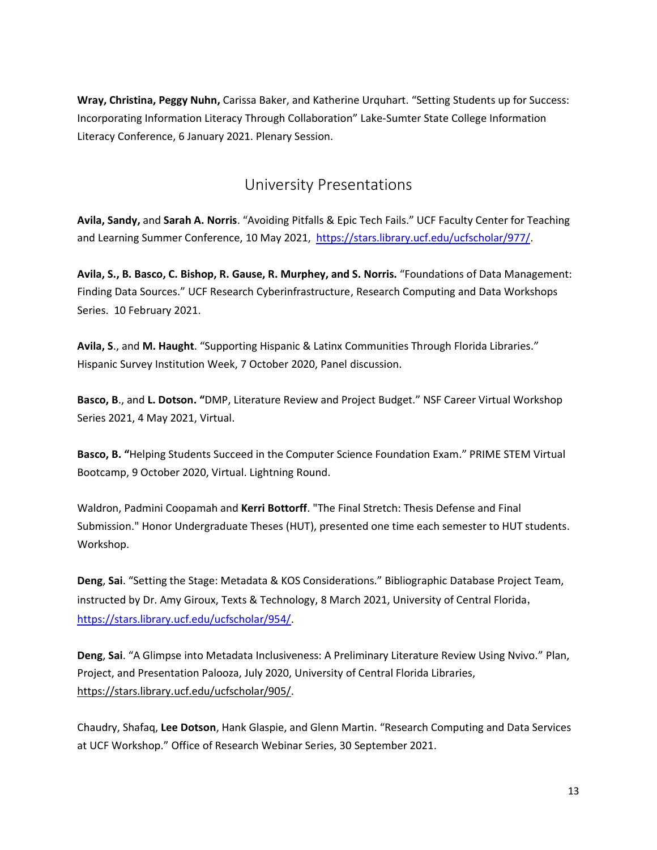**Wray, Christina, Peggy Nuhn,** Carissa Baker, and Katherine Urquhart. "Setting Students up for Success: Incorporating Information Literacy Through Collaboration" Lake-Sumter State College Information Literacy Conference, 6 January 2021. Plenary Session.

## University Presentations

<span id="page-13-0"></span>**Avila, Sandy,** and **Sarah A. Norris**. "Avoiding Pitfalls & Epic Tech Fails." UCF Faculty Center for Teaching and Learning Summer Conference, 10 May 2021, [https://stars.library.ucf.edu/ucfscholar/977/.](https://nam02.safelinks.protection.outlook.com/?url=https%3A%2F%2Fstars.library.ucf.edu%2Fucfscholar%2F977%2F&data=04%7C01%7CPBeile%40ucf.edu%7Cc5da9b02da29463e43ab08d9738c32e2%7Cbb932f15ef3842ba91fcf3c59d5dd1f1%7C0%7C0%7C637667868252100480%7CUnknown%7CTWFpbGZsb3d8eyJWIjoiMC4wLjAwMDAiLCJQIjoiV2luMzIiLCJBTiI6Ik1haWwiLCJXVCI6Mn0%3D%7C1000&sdata=mmjfIjdcdpdljkwdpqRyuHsD2CcQcp7ww3tKAzdj55A%3D&reserved=0)

**Avila, S., B. Basco, C. Bishop, R. Gause, R. Murphey, and S. Norris.** "Foundations of Data Management: Finding Data Sources." UCF Research Cyberinfrastructure, Research Computing and Data Workshops Series. 10 February 2021.

**Avila, S**., and **M. Haught**. "Supporting Hispanic & Latinx Communities Through Florida Libraries." Hispanic Survey Institution Week, 7 October 2020, Panel discussion.

**Basco, B**., and **L. Dotson. "**DMP, Literature Review and Project Budget." NSF Career Virtual Workshop Series 2021, 4 May 2021, Virtual.

**Basco, B. "**Helping Students Succeed in the Computer Science Foundation Exam." PRIME STEM Virtual Bootcamp, 9 October 2020, Virtual. Lightning Round.

Waldron, Padmini Coopamah and **Kerri Bottorff**. "The Final Stretch: Thesis Defense and Final Submission." Honor Undergraduate Theses (HUT), presented one time each semester to HUT students. Workshop.

**Deng**, **Sai**. "Setting the Stage: Metadata & KOS Considerations." Bibliographic Database Project Team, instructed by Dr. Amy Giroux, Texts & Technology, 8 March 2021, University of Central Florida, [https://stars.library.ucf.edu/ucfscholar/954/.](https://stars.library.ucf.edu/ucfscholar/954/)

**Deng**, **Sai**. "A Glimpse into Metadata Inclusiveness: A Preliminary Literature Review Using Nvivo." Plan, Project, and Presentation Palooza, July 2020, University of Central Florida Libraries, [https://stars.library.ucf.edu/ucfscholar/905/.](https://stars.library.ucf.edu/ucfscholar/905/)

Chaudry, Shafaq, **Lee Dotson**, Hank Glaspie, and Glenn Martin. "Research Computing and Data Services at UCF Workshop." Office of Research Webinar Series, 30 September 2021.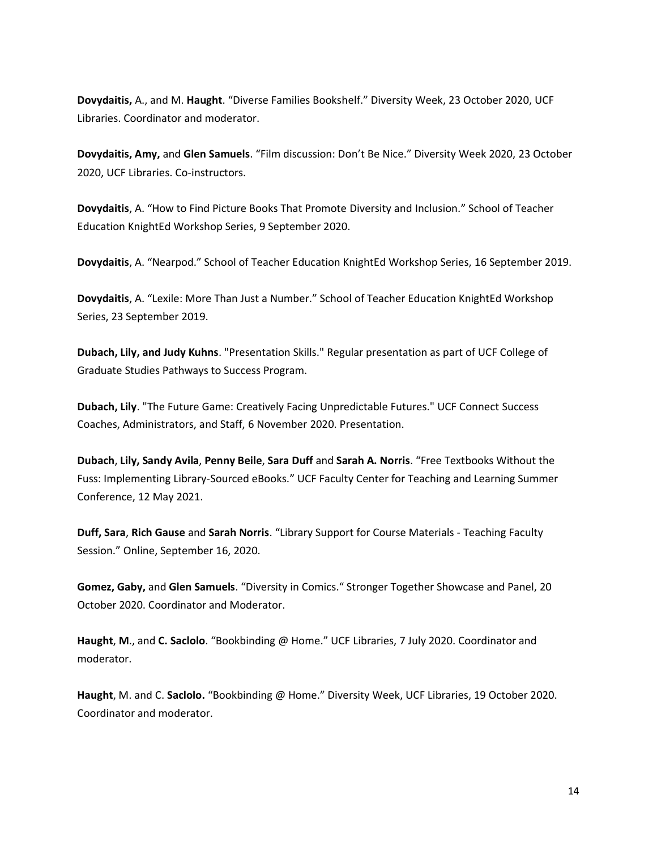**Dovydaitis,** A., and M. **Haught**. "Diverse Families Bookshelf." Diversity Week, 23 October 2020, UCF Libraries. Coordinator and moderator.

**Dovydaitis, Amy,** and **Glen Samuels**. "Film discussion: Don't Be Nice." Diversity Week 2020, 23 October 2020, UCF Libraries. Co-instructors.

**Dovydaitis**, A. "How to Find Picture Books That Promote Diversity and Inclusion." School of Teacher Education KnightEd Workshop Series, 9 September 2020.

**Dovydaitis**, A. "Nearpod." School of Teacher Education KnightEd Workshop Series, 16 September 2019.

**Dovydaitis**, A. "Lexile: More Than Just a Number." School of Teacher Education KnightEd Workshop Series, 23 September 2019.

**Dubach, Lily, and Judy Kuhns**. "Presentation Skills." Regular presentation as part of UCF College of Graduate Studies Pathways to Success Program.

**Dubach, Lily**. "The Future Game: Creatively Facing Unpredictable Futures." UCF Connect Success Coaches, Administrators, and Staff, 6 November 2020. Presentation.

**Dubach**, **Lily, Sandy Avila**, **Penny Beile**, **Sara Duff** and **Sarah A. Norris**. "Free Textbooks Without the Fuss: Implementing Library-Sourced eBooks." UCF Faculty Center for Teaching and Learning Summer Conference, 12 May 2021.

**Duff, Sara**, **Rich Gause** and **Sarah Norris**. "Library Support for Course Materials - Teaching Faculty Session." Online, September 16, 2020.

**Gomez, Gaby,** and **Glen Samuels**. "Diversity in Comics." Stronger Together Showcase and Panel, 20 October 2020. Coordinator and Moderator.

**Haught**, **M**., and **C. Saclolo**. "Bookbinding @ Home." UCF Libraries, 7 July 2020. Coordinator and moderator.

**Haught**, M. and C. **Saclolo.** "Bookbinding @ Home." Diversity Week, UCF Libraries, 19 October 2020. Coordinator and moderator.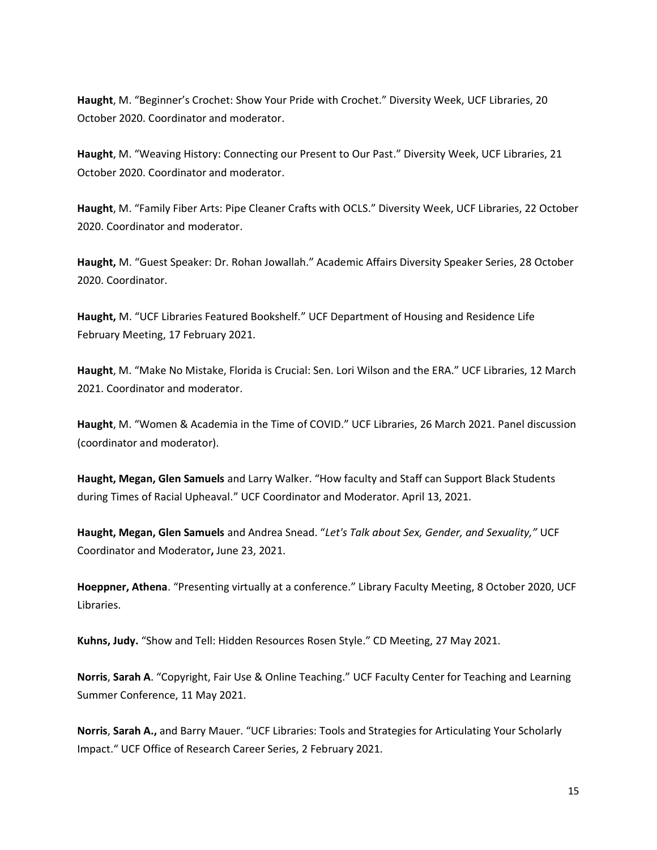**Haught**, M. "Beginner's Crochet: Show Your Pride with Crochet." Diversity Week, UCF Libraries, 20 October 2020. Coordinator and moderator.

**Haught**, M. "Weaving History: Connecting our Present to Our Past." Diversity Week, UCF Libraries, 21 October 2020. Coordinator and moderator.

**Haught**, M. "Family Fiber Arts: Pipe Cleaner Crafts with OCLS." Diversity Week, UCF Libraries, 22 October 2020. Coordinator and moderator.

**Haught,** M. "Guest Speaker: Dr. Rohan Jowallah." Academic Affairs Diversity Speaker Series, 28 October 2020. Coordinator.

**Haught,** M. "UCF Libraries Featured Bookshelf." UCF Department of Housing and Residence Life February Meeting, 17 February 2021.

**Haught**, M. "Make No Mistake, Florida is Crucial: Sen. Lori Wilson and the ERA." UCF Libraries, 12 March 2021. Coordinator and moderator.

**Haught**, M. "Women & Academia in the Time of COVID." UCF Libraries, 26 March 2021. Panel discussion (coordinator and moderator).

**Haught, Megan, Glen Samuels** and Larry Walker. "How faculty and Staff can Support Black Students during Times of Racial Upheaval." UCF Coordinator and Moderator. April 13, 2021.

**Haught, Megan, Glen Samuels** and Andrea Snead. "*Let's Talk about Sex, Gender, and Sexuality,"* UCF Coordinator and Moderator**,** June 23, 2021.

**Hoeppner, Athena**. "Presenting virtually at a conference." Library Faculty Meeting, 8 October 2020, UCF Libraries.

**Kuhns, Judy.** "Show and Tell: Hidden Resources Rosen Style." CD Meeting, 27 May 2021.

**Norris**, **Sarah A**. "Copyright, Fair Use & Online Teaching." UCF Faculty Center for Teaching and Learning Summer Conference, 11 May 2021.

**Norris**, **Sarah A.,** and Barry Mauer. "UCF Libraries: Tools and Strategies for Articulating Your Scholarly Impact." UCF Office of Research Career Series, 2 February 2021.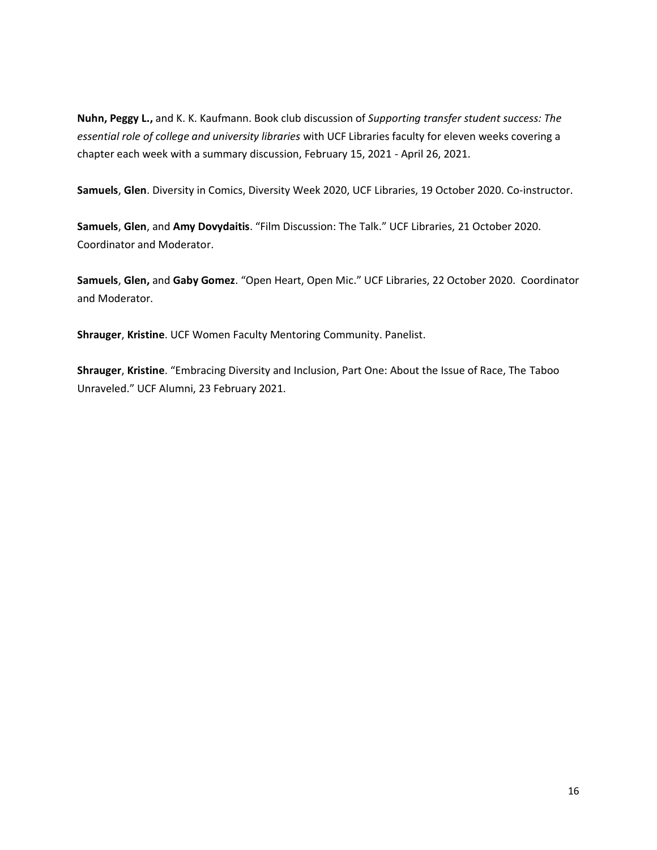**Nuhn, Peggy L.,** and K. K. Kaufmann. Book club discussion of *Supporting transfer student success: The essential role of college and university libraries* with UCF Libraries faculty for eleven weeks covering a chapter each week with a summary discussion, February 15, 2021 - April 26, 2021.

**Samuels**, **Glen**. Diversity in Comics, Diversity Week 2020, UCF Libraries, 19 October 2020. Co-instructor.

**Samuels**, **Glen**, and **Amy Dovydaitis**. "Film Discussion: The Talk." UCF Libraries, 21 October 2020. Coordinator and Moderator.

**Samuels**, **Glen,** and **Gaby Gomez**. "Open Heart, Open Mic." UCF Libraries, 22 October 2020. Coordinator and Moderator.

**Shrauger**, **Kristine**. UCF Women Faculty Mentoring Community. Panelist.

**Shrauger**, **Kristine**. "Embracing Diversity and Inclusion, Part One: About the Issue of Race, The Taboo Unraveled." UCF Alumni, 23 February 2021.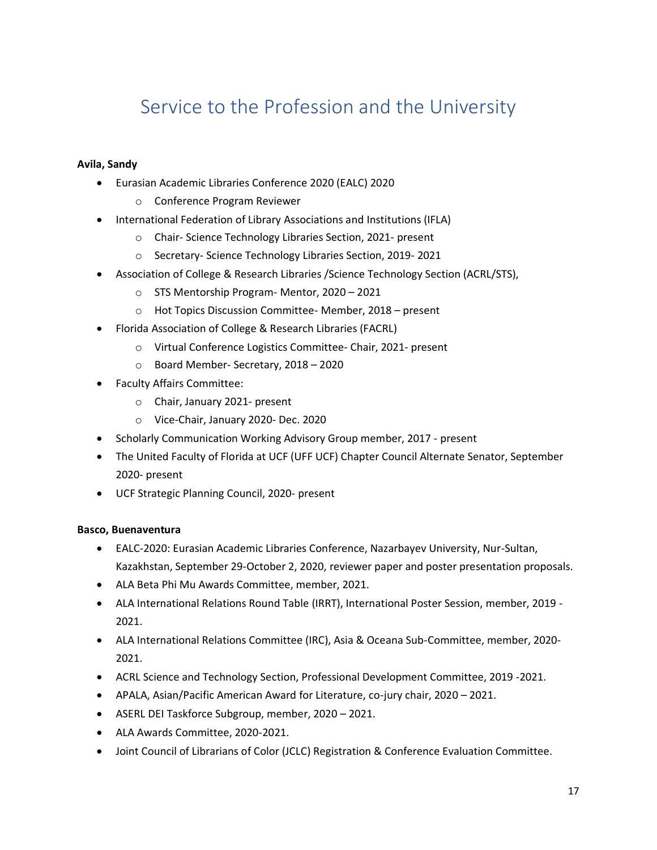# Service to the Profession and the University

#### <span id="page-17-0"></span>**Avila, Sandy**

- Eurasian Academic Libraries Conference 2020 (EALC) 2020
	- o Conference Program Reviewer
- International Federation of Library Associations and Institutions (IFLA)
	- o Chair- Science Technology Libraries Section, 2021- present
	- o Secretary- Science Technology Libraries Section, 2019- 2021
- Association of College & Research Libraries /Science Technology Section (ACRL/STS),
	- o STS Mentorship Program- Mentor, 2020 2021
	- o Hot Topics Discussion Committee- Member, 2018 present
- Florida Association of College & Research Libraries (FACRL)
	- o Virtual Conference Logistics Committee- Chair, 2021- present
	- o Board Member- Secretary, 2018 2020
- Faculty Affairs Committee:
	- o Chair, January 2021- present
	- o Vice-Chair, January 2020- Dec. 2020
- Scholarly Communication Working Advisory Group member, 2017 present
- The United Faculty of Florida at UCF (UFF UCF) Chapter Council Alternate Senator, September 2020- present
- UCF Strategic Planning Council, 2020- present

#### **Basco, Buenaventura**

- EALC-2020: Eurasian Academic Libraries Conference, Nazarbayev University, Nur-Sultan, Kazakhstan, September 29-October 2, 2020, reviewer paper and poster presentation proposals.
- ALA Beta Phi Mu Awards Committee, member, 2021.
- ALA International Relations Round Table (IRRT), International Poster Session, member, 2019 2021.
- ALA International Relations Committee (IRC), Asia & Oceana Sub-Committee, member, 2020- 2021.
- ACRL Science and Technology Section, Professional Development Committee, 2019 -2021.
- APALA, Asian/Pacific American Award for Literature, co-jury chair, 2020 2021.
- ASERL DEI Taskforce Subgroup, member, 2020 2021.
- ALA Awards Committee, 2020-2021.
- Joint Council of Librarians of Color (JCLC) Registration & Conference Evaluation Committee.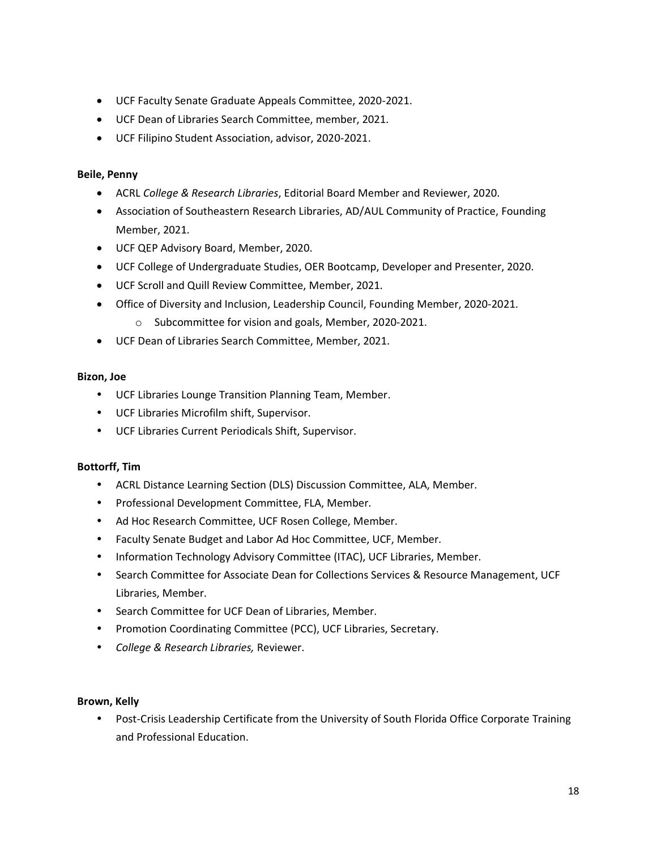- UCF Faculty Senate Graduate Appeals Committee, 2020-2021.
- UCF Dean of Libraries Search Committee, member, 2021.
- UCF Filipino Student Association, advisor, 2020-2021.

#### **Beile, Penny**

- ACRL *College & Research Libraries*, Editorial Board Member and Reviewer, 2020.
- Association of Southeastern Research Libraries, AD/AUL Community of Practice, Founding Member, 2021.
- UCF QEP Advisory Board, Member, 2020.
- UCF College of Undergraduate Studies, OER Bootcamp, Developer and Presenter, 2020.
- UCF Scroll and Quill Review Committee, Member, 2021.
- Office of Diversity and Inclusion, Leadership Council, Founding Member, 2020-2021.
	- o Subcommittee for vision and goals, Member, 2020-2021.
- UCF Dean of Libraries Search Committee, Member, 2021.

#### **Bizon, Joe**

- UCF Libraries Lounge Transition Planning Team, Member.
- UCF Libraries Microfilm shift, Supervisor.
- UCF Libraries Current Periodicals Shift, Supervisor.

#### **Bottorff, Tim**

- ACRL Distance Learning Section (DLS) Discussion Committee, ALA, Member.
- Professional Development Committee, FLA, Member.
- Ad Hoc Research Committee, UCF Rosen College, Member.
- Faculty Senate Budget and Labor Ad Hoc Committee, UCF, Member.
- Information Technology Advisory Committee (ITAC), UCF Libraries, Member.
- Search Committee for Associate Dean for Collections Services & Resource Management, UCF Libraries, Member.
- Search Committee for UCF Dean of Libraries, Member.
- Promotion Coordinating Committee (PCC), UCF Libraries, Secretary.
- *College & Research Libraries,* Reviewer.

#### **Brown, Kelly**

 Post-Crisis Leadership Certificate from the University of South Florida Office Corporate Training and Professional Education.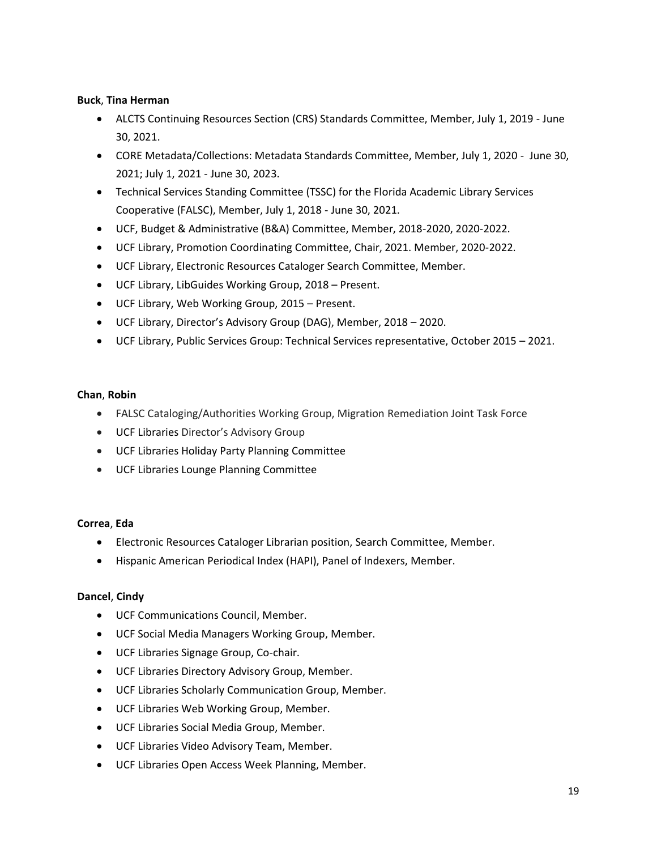#### **Buck**, **Tina Herman**

- ALCTS Continuing Resources Section (CRS) Standards Committee, Member, July 1, 2019 June 30, 2021.
- CORE Metadata/Collections: Metadata Standards Committee, Member, July 1, 2020 June 30, 2021; July 1, 2021 - June 30, 2023.
- Technical Services Standing Committee (TSSC) for the Florida Academic Library Services Cooperative (FALSC), Member, July 1, 2018 - June 30, 2021.
- UCF, Budget & Administrative (B&A) Committee, Member, 2018-2020, 2020-2022.
- UCF Library, Promotion Coordinating Committee, Chair, 2021. Member, 2020-2022.
- UCF Library, Electronic Resources Cataloger Search Committee, Member.
- UCF Library, LibGuides Working Group, 2018 Present.
- UCF Library, Web Working Group, 2015 Present.
- UCF Library, Director's Advisory Group (DAG), Member, 2018 2020.
- UCF Library, Public Services Group: Technical Services representative, October 2015 2021.

#### **Chan**, **Robin**

- FALSC Cataloging/Authorities Working Group, Migration Remediation Joint Task Force
- UCF Libraries Director's Advisory Group
- UCF Libraries Holiday Party Planning Committee
- UCF Libraries Lounge Planning Committee

#### **Correa**, **Eda**

- Electronic Resources Cataloger Librarian position, Search Committee, Member.
- Hispanic American Periodical Index (HAPI), Panel of Indexers, Member.

#### **Dancel**, **Cindy**

- UCF Communications Council, Member.
- UCF Social Media Managers Working Group, Member.
- UCF Libraries Signage Group, Co-chair.
- UCF Libraries Directory Advisory Group, Member.
- UCF Libraries Scholarly Communication Group, Member.
- UCF Libraries Web Working Group, Member.
- UCF Libraries Social Media Group, Member.
- UCF Libraries Video Advisory Team, Member.
- UCF Libraries Open Access Week Planning, Member.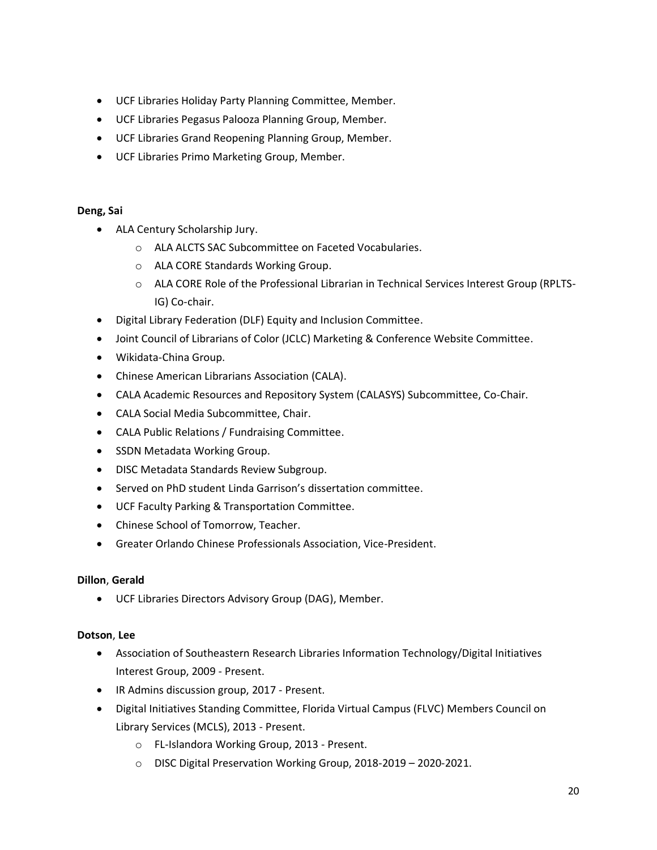- UCF Libraries Holiday Party Planning Committee, Member.
- UCF Libraries Pegasus Palooza Planning Group, Member.
- UCF Libraries Grand Reopening Planning Group, Member.
- UCF Libraries Primo Marketing Group, Member.

#### **Deng, Sai**

- ALA Century Scholarship Jury.
	- o ALA ALCTS SAC Subcommittee on Faceted Vocabularies.
	- o ALA CORE Standards Working Group.
	- o ALA CORE Role of the Professional Librarian in Technical Services Interest Group (RPLTS-IG) Co-chair.
- Digital Library Federation (DLF) Equity and Inclusion Committee.
- Joint Council of Librarians of Color (JCLC) Marketing & Conference Website Committee.
- Wikidata-China Group.
- Chinese American Librarians Association (CALA).
- CALA Academic Resources and Repository System (CALASYS) Subcommittee, Co-Chair.
- CALA Social Media Subcommittee, Chair.
- CALA Public Relations / Fundraising Committee.
- SSDN Metadata Working Group.
- DISC Metadata Standards Review Subgroup.
- Served on PhD student Linda Garrison's dissertation committee.
- UCF Faculty Parking & Transportation Committee.
- Chinese School of Tomorrow, Teacher.
- Greater Orlando Chinese Professionals Association, Vice-President.

#### **Dillon**, **Gerald**

• UCF Libraries Directors Advisory Group (DAG), Member.

#### **Dotson**, **Lee**

- Association of Southeastern Research Libraries Information Technology/Digital Initiatives Interest Group, 2009 - Present.
- IR Admins discussion group, 2017 Present.
- Digital Initiatives Standing Committee, Florida Virtual Campus (FLVC) Members Council on Library Services (MCLS), 2013 - Present.
	- o FL-Islandora Working Group, 2013 Present.
	- o DISC Digital Preservation Working Group, 2018-2019 2020-2021.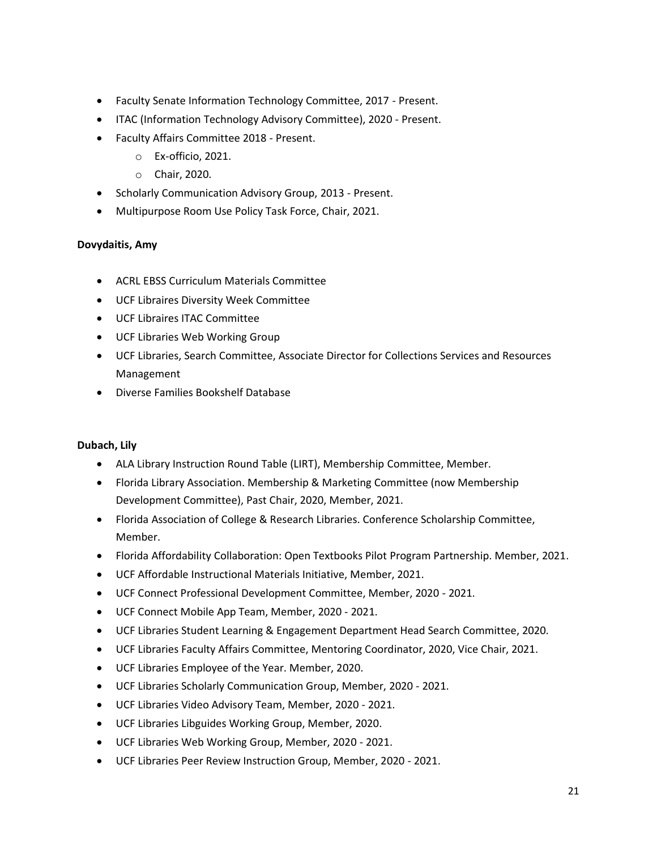- Faculty Senate Information Technology Committee, 2017 Present.
- ITAC (Information Technology Advisory Committee), 2020 Present.
- Faculty Affairs Committee 2018 Present.
	- o Ex-officio, 2021.
	- o Chair, 2020.
- Scholarly Communication Advisory Group, 2013 Present.
- Multipurpose Room Use Policy Task Force, Chair, 2021.

#### **Dovydaitis, Amy**

- ACRL EBSS Curriculum Materials Committee
- UCF Libraires Diversity Week Committee
- UCF Libraires ITAC Committee
- UCF Libraries Web Working Group
- UCF Libraries, Search Committee, Associate Director for Collections Services and Resources Management
- Diverse Families Bookshelf Database

#### **Dubach, Lily**

- ALA Library Instruction Round Table (LIRT), Membership Committee, Member.
- Florida Library Association. Membership & Marketing Committee (now Membership Development Committee), Past Chair, 2020, Member, 2021.
- Florida Association of College & Research Libraries. Conference Scholarship Committee, Member.
- Florida Affordability Collaboration: Open Textbooks Pilot Program Partnership. Member, 2021.
- UCF Affordable Instructional Materials Initiative, Member, 2021.
- UCF Connect Professional Development Committee, Member, 2020 2021.
- UCF Connect Mobile App Team, Member, 2020 2021.
- UCF Libraries Student Learning & Engagement Department Head Search Committee, 2020.
- UCF Libraries Faculty Affairs Committee, Mentoring Coordinator, 2020, Vice Chair, 2021.
- UCF Libraries Employee of the Year. Member, 2020.
- UCF Libraries Scholarly Communication Group, Member, 2020 2021.
- UCF Libraries Video Advisory Team, Member, 2020 2021.
- UCF Libraries Libguides Working Group, Member, 2020.
- UCF Libraries Web Working Group, Member, 2020 2021.
- UCF Libraries Peer Review Instruction Group, Member, 2020 2021.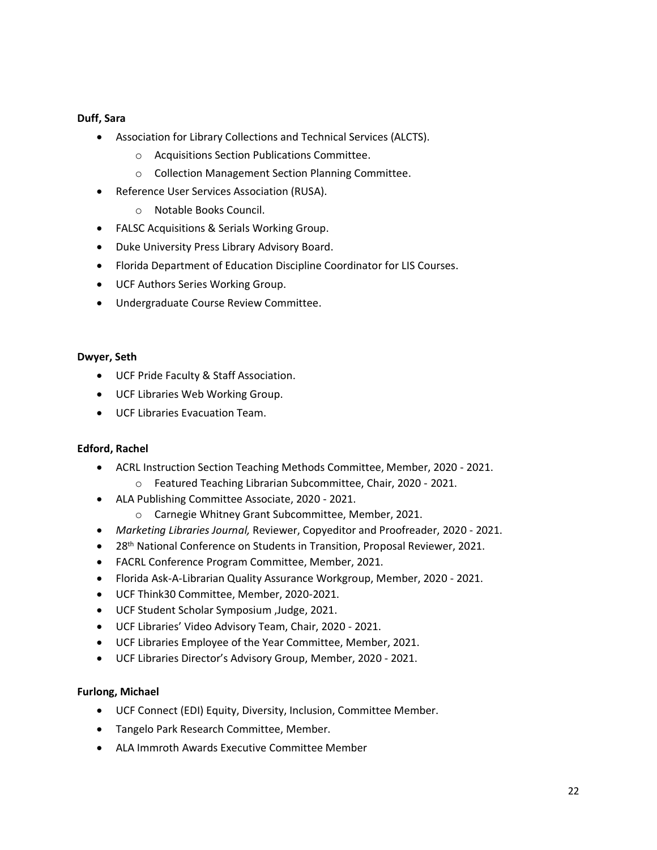#### **Duff, Sara**

- Association for Library Collections and Technical Services (ALCTS).
	- o Acquisitions Section Publications Committee.
	- o Collection Management Section Planning Committee.
- Reference User Services Association (RUSA).
	- o Notable Books Council.
- FALSC Acquisitions & Serials Working Group.
- Duke University Press Library Advisory Board.
- Florida Department of Education Discipline Coordinator for LIS Courses.
- UCF Authors Series Working Group.
- Undergraduate Course Review Committee.

#### **Dwyer, Seth**

- UCF Pride Faculty & Staff Association.
- UCF Libraries Web Working Group.
- UCF Libraries Evacuation Team.

#### **Edford, Rachel**

- ACRL Instruction Section Teaching Methods Committee, Member, 2020 2021.
	- o Featured Teaching Librarian Subcommittee, Chair, 2020 2021.
- ALA Publishing Committee Associate, 2020 2021.
	- o Carnegie Whitney Grant Subcommittee, Member, 2021.
- *Marketing Libraries Journal,* Reviewer, Copyeditor and Proofreader, 2020 2021.
- 28<sup>th</sup> National Conference on Students in Transition, Proposal Reviewer, 2021.
- FACRL Conference Program Committee, Member, 2021.
- Florida Ask-A-Librarian Quality Assurance Workgroup, Member, 2020 2021.
- UCF Think30 Committee, Member, 2020-2021.
- UCF Student Scholar Symposium ,Judge, 2021.
- UCF Libraries' Video Advisory Team, Chair, 2020 2021.
- UCF Libraries Employee of the Year Committee, Member, 2021.
- UCF Libraries Director's Advisory Group, Member, 2020 2021.

#### **Furlong, Michael**

- UCF Connect (EDI) Equity, Diversity, Inclusion, Committee Member.
- Tangelo Park Research Committee, Member.
- ALA Immroth Awards Executive Committee Member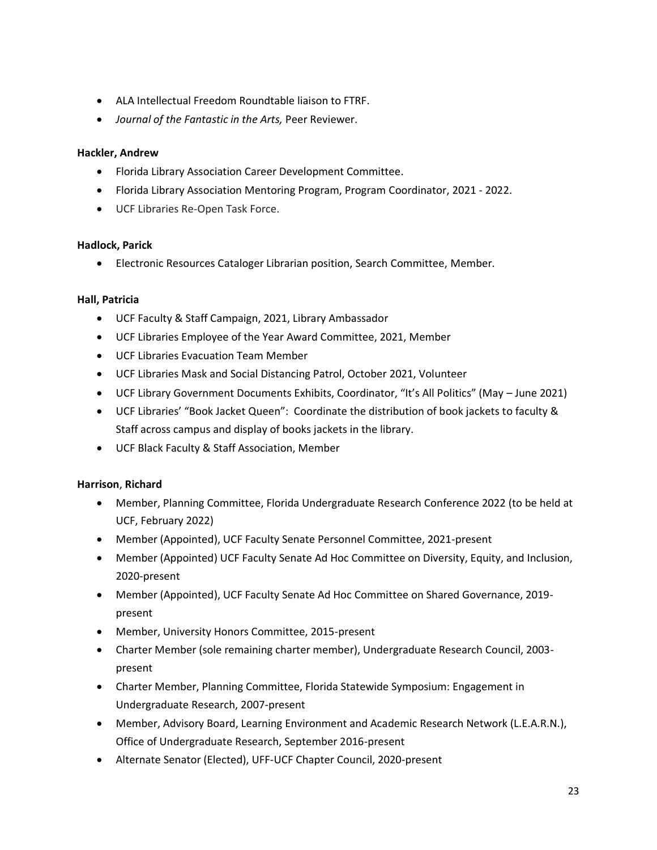- ALA Intellectual Freedom Roundtable liaison to FTRF.
- *Journal of the Fantastic in the Arts,* Peer Reviewer.

#### **Hackler, Andrew**

- Florida Library Association Career Development Committee.
- Florida Library Association Mentoring Program, Program Coordinator, 2021 2022.
- UCF Libraries Re-Open Task Force.

#### **Hadlock, Parick**

• Electronic Resources Cataloger Librarian position, Search Committee, Member.

#### **Hall, Patricia**

- UCF Faculty & Staff Campaign, 2021, Library Ambassador
- UCF Libraries Employee of the Year Award Committee, 2021, Member
- UCF Libraries Evacuation Team Member
- UCF Libraries Mask and Social Distancing Patrol, October 2021, Volunteer
- UCF Library Government Documents Exhibits, Coordinator, "It's All Politics" (May June 2021)
- UCF Libraries' "Book Jacket Queen": Coordinate the distribution of book jackets to faculty & Staff across campus and display of books jackets in the library.
- UCF Black Faculty & Staff Association, Member

#### **Harrison**, **Richard**

- Member, Planning Committee, Florida Undergraduate Research Conference 2022 (to be held at UCF, February 2022)
- Member (Appointed), UCF Faculty Senate Personnel Committee, 2021-present
- Member (Appointed) UCF Faculty Senate Ad Hoc Committee on Diversity, Equity, and Inclusion, 2020-present
- Member (Appointed), UCF Faculty Senate Ad Hoc Committee on Shared Governance, 2019 present
- Member, University Honors Committee, 2015-present
- Charter Member (sole remaining charter member), Undergraduate Research Council, 2003 present
- Charter Member, Planning Committee, Florida Statewide Symposium: Engagement in Undergraduate Research, 2007-present
- Member, Advisory Board, Learning Environment and Academic Research Network (L.E.A.R.N.), Office of Undergraduate Research, September 2016-present
- Alternate Senator (Elected), UFF-UCF Chapter Council, 2020-present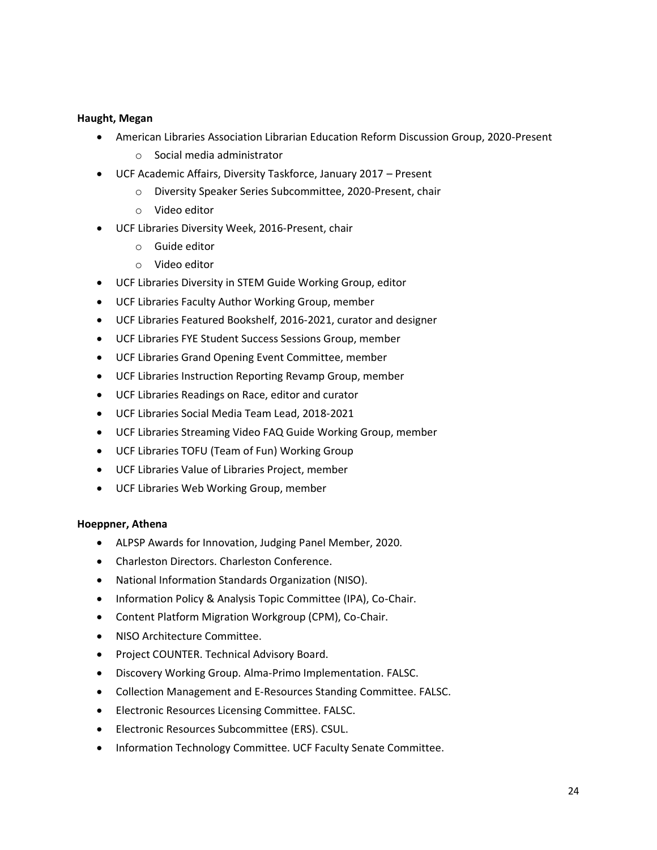#### **Haught, Megan**

- American Libraries Association Librarian Education Reform Discussion Group, 2020-Present
	- o Social media administrator
- UCF Academic Affairs, Diversity Taskforce, January 2017 Present
	- o Diversity Speaker Series Subcommittee, 2020-Present, chair
	- o Video editor
- UCF Libraries Diversity Week, 2016-Present, chair
	- o Guide editor
	- o Video editor
- UCF Libraries Diversity in STEM Guide Working Group, editor
- UCF Libraries Faculty Author Working Group, member
- UCF Libraries Featured Bookshelf, 2016-2021, curator and designer
- UCF Libraries FYE Student Success Sessions Group, member
- UCF Libraries Grand Opening Event Committee, member
- UCF Libraries Instruction Reporting Revamp Group, member
- UCF Libraries Readings on Race, editor and curator
- UCF Libraries Social Media Team Lead, 2018-2021
- UCF Libraries Streaming Video FAQ Guide Working Group, member
- UCF Libraries TOFU (Team of Fun) Working Group
- UCF Libraries Value of Libraries Project, member
- UCF Libraries Web Working Group, member

#### **Hoeppner, Athena**

- ALPSP Awards for Innovation, Judging Panel Member, 2020.
- Charleston Directors. Charleston Conference.
- National Information Standards Organization (NISO).
- Information Policy & Analysis Topic Committee (IPA), Co-Chair.
- Content Platform Migration Workgroup (CPM), Co-Chair.
- NISO Architecture Committee.
- Project COUNTER. Technical Advisory Board.
- Discovery Working Group. Alma-Primo Implementation. FALSC.
- Collection Management and E-Resources Standing Committee. FALSC.
- Electronic Resources Licensing Committee. FALSC.
- Electronic Resources Subcommittee (ERS). CSUL.
- Information Technology Committee. UCF Faculty Senate Committee.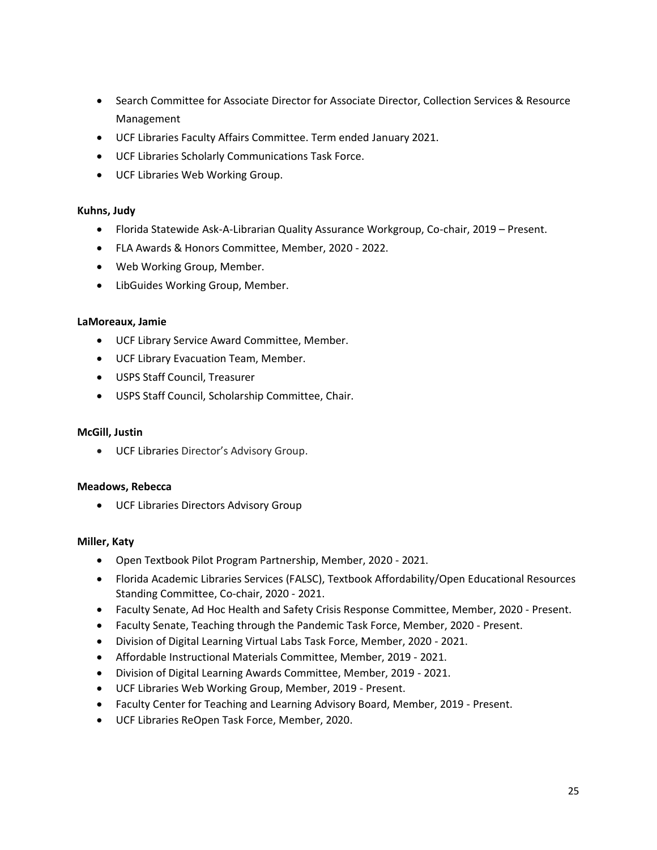- Search Committee for Associate Director for Associate Director, Collection Services & Resource Management
- UCF Libraries Faculty Affairs Committee. Term ended January 2021.
- UCF Libraries Scholarly Communications Task Force.
- UCF Libraries Web Working Group.

#### **Kuhns, Judy**

- Florida Statewide Ask-A-Librarian Quality Assurance Workgroup, Co-chair, 2019 Present.
- FLA Awards & Honors Committee, Member, 2020 2022.
- Web Working Group, Member.
- LibGuides Working Group, Member.

#### **LaMoreaux, Jamie**

- UCF Library Service Award Committee, Member.
- UCF Library Evacuation Team, Member.
- USPS Staff Council, Treasurer
- USPS Staff Council, Scholarship Committee, Chair.

#### **McGill, Justin**

• UCF Libraries Director's Advisory Group.

#### **Meadows, Rebecca**

• UCF Libraries Directors Advisory Group

#### **Miller, Katy**

- Open Textbook Pilot Program Partnership, Member, 2020 2021.
- Florida Academic Libraries Services (FALSC), Textbook Affordability/Open Educational Resources Standing Committee, Co-chair, 2020 - 2021.
- Faculty Senate, Ad Hoc Health and Safety Crisis Response Committee, Member, 2020 Present.
- Faculty Senate, Teaching through the Pandemic Task Force, Member, 2020 Present.
- Division of Digital Learning Virtual Labs Task Force, Member, 2020 2021.
- Affordable Instructional Materials Committee, Member, 2019 2021.
- Division of Digital Learning Awards Committee, Member, 2019 2021.
- UCF Libraries Web Working Group, Member, 2019 Present.
- Faculty Center for Teaching and Learning Advisory Board, Member, 2019 Present.
- UCF Libraries ReOpen Task Force, Member, 2020.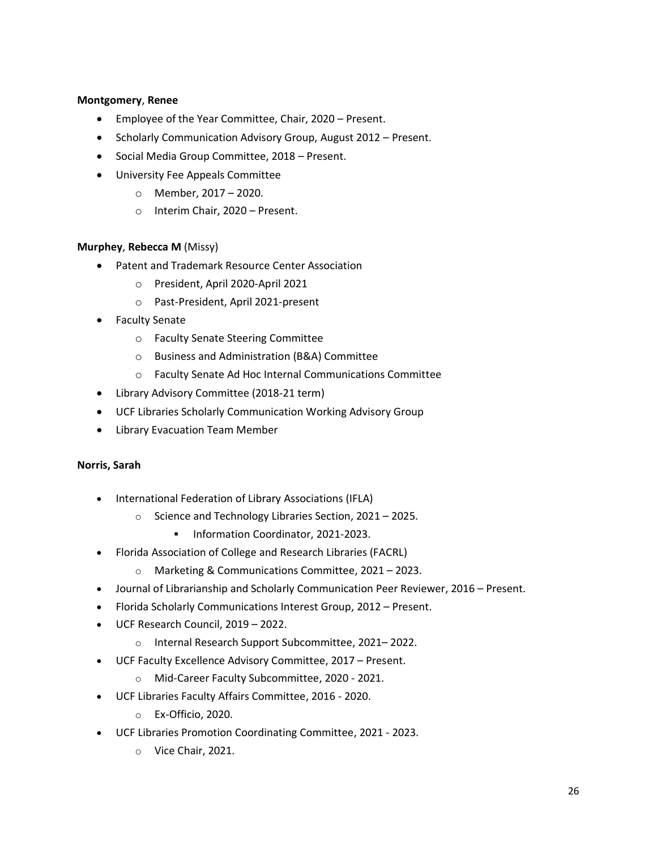#### **Montgomery**, **Renee**

- Employee of the Year Committee, Chair, 2020 Present.
- Scholarly Communication Advisory Group, August 2012 Present.
- Social Media Group Committee, 2018 Present.
- University Fee Appeals Committee
	- o Member, 2017 2020.
	- o Interim Chair, 2020 Present.

#### **Murphey**, **Rebecca M** (Missy)

- Patent and Trademark Resource Center Association
	- o President, April 2020-April 2021
	- o Past-President, April 2021-present
- Faculty Senate
	- o Faculty Senate Steering Committee
	- o Business and Administration (B&A) Committee
	- o Faculty Senate Ad Hoc Internal Communications Committee
- Library Advisory Committee (2018-21 term)
- UCF Libraries Scholarly Communication Working Advisory Group
- Library Evacuation Team Member

#### **Norris, Sarah**

- International Federation of Library Associations (IFLA)
	- o Science and Technology Libraries Section, 2021 2025.
		- Information Coordinator, 2021-2023.
- Florida Association of College and Research Libraries (FACRL)
	- o Marketing & Communications Committee, 2021 2023.
- Journal of Librarianship and Scholarly Communication Peer Reviewer, 2016 Present.
- Florida Scholarly Communications Interest Group, 2012 Present.
- UCF Research Council, 2019 2022.
	- o Internal Research Support Subcommittee, 2021– 2022.
- UCF Faculty Excellence Advisory Committee, 2017 Present.
	- o Mid-Career Faculty Subcommittee, 2020 2021.
- UCF Libraries Faculty Affairs Committee, 2016 2020.
	- o Ex-Officio, 2020.
- UCF Libraries Promotion Coordinating Committee, 2021 2023.
	- o Vice Chair, 2021.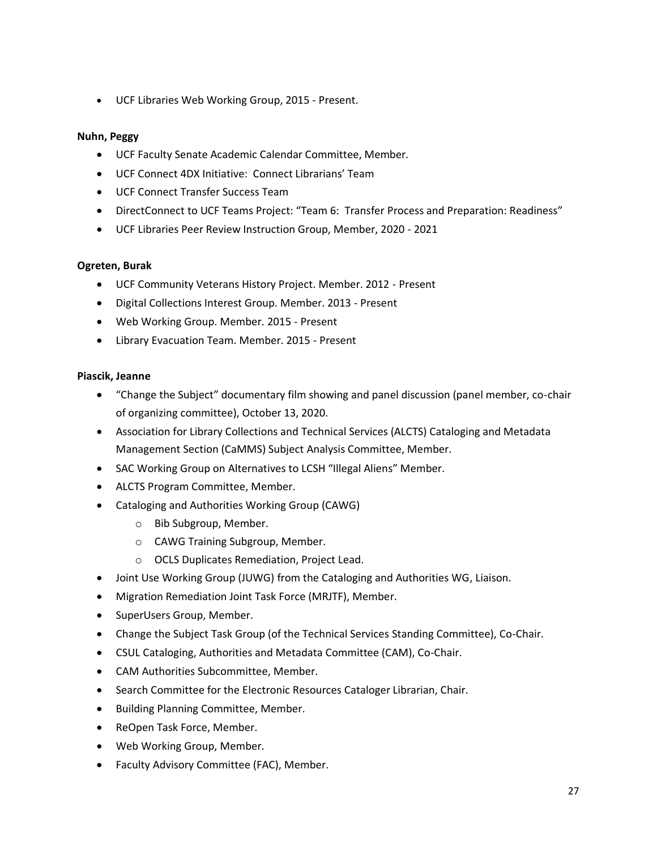• UCF Libraries Web Working Group, 2015 - Present.

#### **Nuhn, Peggy**

- UCF Faculty Senate Academic Calendar Committee, Member.
- UCF Connect 4DX Initiative: Connect Librarians' Team
- UCF Connect Transfer Success Team
- DirectConnect to UCF Teams Project: "Team 6: Transfer Process and Preparation: Readiness"
- UCF Libraries Peer Review Instruction Group, Member, 2020 2021

#### **Ogreten, Burak**

- UCF Community Veterans History Project. Member. 2012 Present
- Digital Collections Interest Group. Member. 2013 Present
- Web Working Group. Member. 2015 Present
- Library Evacuation Team. Member. 2015 Present

#### **Piascik, Jeanne**

- "Change the Subject" documentary film showing and panel discussion (panel member, co-chair of organizing committee), October 13, 2020.
- Association for Library Collections and Technical Services (ALCTS) Cataloging and Metadata Management Section (CaMMS) Subject Analysis Committee, Member.
- SAC Working Group on Alternatives to LCSH "Illegal Aliens" Member.
- ALCTS Program Committee, Member.
- Cataloging and Authorities Working Group (CAWG)
	- o Bib Subgroup, Member.
	- o CAWG Training Subgroup, Member.
	- o OCLS Duplicates Remediation, Project Lead.
- Joint Use Working Group (JUWG) from the Cataloging and Authorities WG, Liaison.
- Migration Remediation Joint Task Force (MRJTF), Member.
- SuperUsers Group, Member.
- Change the Subject Task Group (of the Technical Services Standing Committee), Co-Chair.
- CSUL Cataloging, Authorities and Metadata Committee (CAM), Co-Chair.
- CAM Authorities Subcommittee, Member.
- Search Committee for the Electronic Resources Cataloger Librarian, Chair.
- Building Planning Committee, Member.
- ReOpen Task Force, Member.
- Web Working Group, Member.
- Faculty Advisory Committee (FAC), Member.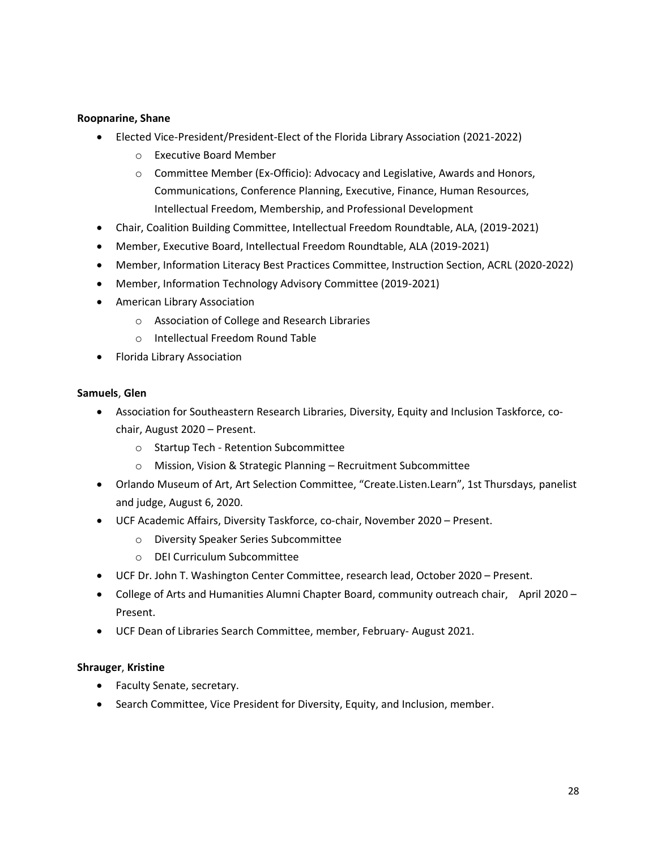#### **Roopnarine, Shane**

- Elected Vice-President/President-Elect of the Florida Library Association (2021-2022)
	- o Executive Board Member
	- o Committee Member (Ex-Officio): Advocacy and Legislative, Awards and Honors, Communications, Conference Planning, Executive, Finance, Human Resources, Intellectual Freedom, Membership, and Professional Development
- Chair, Coalition Building Committee, Intellectual Freedom Roundtable, ALA, (2019-2021)
- Member, Executive Board, Intellectual Freedom Roundtable, ALA (2019-2021)
- Member, Information Literacy Best Practices Committee, Instruction Section, ACRL (2020-2022)
- Member, Information Technology Advisory Committee (2019-2021)
- American Library Association
	- o Association of College and Research Libraries
	- o Intellectual Freedom Round Table
- Florida Library Association

#### **Samuels**, **Glen**

- Association for Southeastern Research Libraries, Diversity, Equity and Inclusion Taskforce, cochair, August 2020 – Present.
	- o Startup Tech Retention Subcommittee
	- o Mission, Vision & Strategic Planning Recruitment Subcommittee
- Orlando Museum of Art, Art Selection Committee, "Create.Listen.Learn", 1st Thursdays, panelist and judge, August 6, 2020.
- UCF Academic Affairs, Diversity Taskforce, co-chair, November 2020 Present.
	- o Diversity Speaker Series Subcommittee
	- o DEI Curriculum Subcommittee
- UCF Dr. John T. Washington Center Committee, research lead, October 2020 Present.
- College of Arts and Humanities Alumni Chapter Board, community outreach chair, April 2020 Present.
- UCF Dean of Libraries Search Committee, member, February- August 2021.

#### **Shrauger**, **Kristine**

- Faculty Senate, secretary.
- Search Committee, Vice President for Diversity, Equity, and Inclusion, member.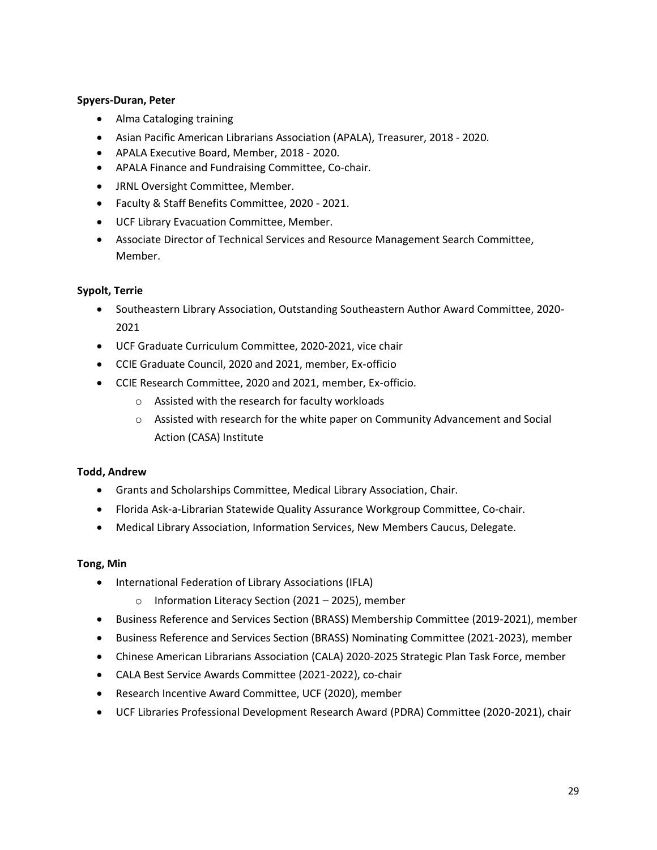#### **Spyers-Duran, Peter**

- Alma Cataloging training
- Asian Pacific American Librarians Association (APALA), Treasurer, 2018 2020.
- APALA Executive Board, Member, 2018 2020.
- APALA Finance and Fundraising Committee, Co-chair.
- JRNL Oversight Committee, Member.
- Faculty & Staff Benefits Committee, 2020 2021.
- UCF Library Evacuation Committee, Member.
- Associate Director of Technical Services and Resource Management Search Committee, Member.

#### **Sypolt, Terrie**

- Southeastern Library Association, Outstanding Southeastern Author Award Committee, 2020- 2021
- UCF Graduate Curriculum Committee, 2020-2021, vice chair
- CCIE Graduate Council, 2020 and 2021, member, Ex-officio
- CCIE Research Committee, 2020 and 2021, member, Ex-officio.
	- o Assisted with the research for faculty workloads
	- $\circ$  Assisted with research for the white paper on Community Advancement and Social Action (CASA) Institute

#### **Todd, Andrew**

- Grants and Scholarships Committee, Medical Library Association, Chair.
- Florida Ask-a-Librarian Statewide Quality Assurance Workgroup Committee, Co-chair.
- Medical Library Association, Information Services, New Members Caucus, Delegate.

#### **Tong, Min**

- International Federation of Library Associations (IFLA)
	- o Information Literacy Section (2021 2025), member
- Business Reference and Services Section (BRASS) Membership Committee (2019-2021), member
- Business Reference and Services Section (BRASS) Nominating Committee (2021-2023), member
- Chinese American Librarians Association (CALA) 2020-2025 Strategic Plan Task Force, member
- CALA Best Service Awards Committee (2021-2022), co-chair
- Research Incentive Award Committee, UCF (2020), member
- UCF Libraries Professional Development Research Award (PDRA) Committee (2020-2021), chair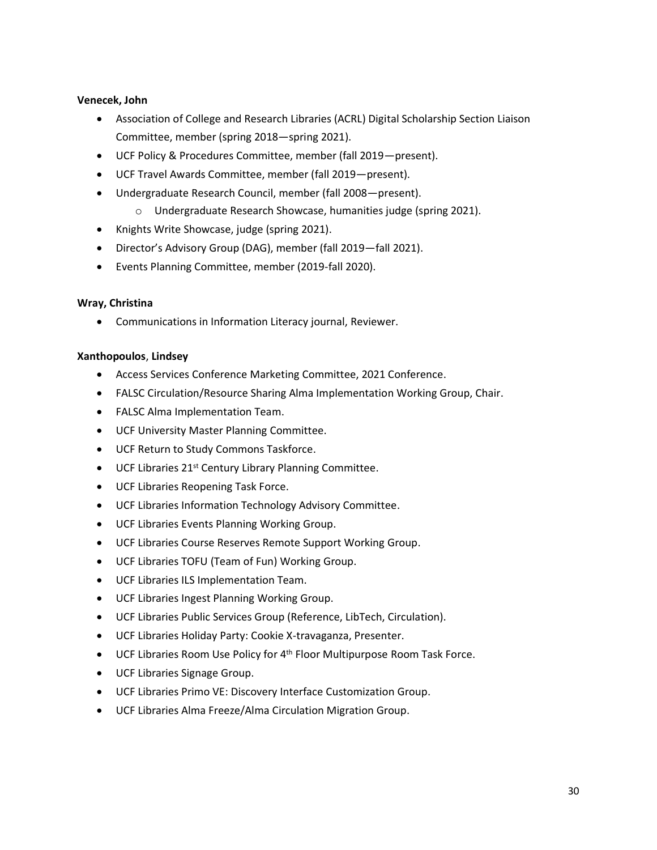#### **Venecek, John**

- Association of College and Research Libraries (ACRL) Digital Scholarship Section Liaison Committee, member (spring 2018—spring 2021).
- UCF Policy & Procedures Committee, member (fall 2019—present).
- UCF Travel Awards Committee, member (fall 2019—present).
- Undergraduate Research Council, member (fall 2008—present).
	- o Undergraduate Research Showcase, humanities judge (spring 2021).
- Knights Write Showcase, judge (spring 2021).
- Director's Advisory Group (DAG), member (fall 2019—fall 2021).
- Events Planning Committee, member (2019-fall 2020).

#### **Wray, Christina**

• Communications in Information Literacy journal, Reviewer.

#### **Xanthopoulos**, **Lindsey**

- Access Services Conference Marketing Committee, 2021 Conference.
- FALSC Circulation/Resource Sharing Alma Implementation Working Group, Chair.
- FALSC Alma Implementation Team.
- UCF University Master Planning Committee.
- UCF Return to Study Commons Taskforce.
- UCF Libraries 21<sup>st</sup> Century Library Planning Committee.
- UCF Libraries Reopening Task Force.
- UCF Libraries Information Technology Advisory Committee.
- UCF Libraries Events Planning Working Group.
- UCF Libraries Course Reserves Remote Support Working Group.
- UCF Libraries TOFU (Team of Fun) Working Group.
- UCF Libraries ILS Implementation Team.
- UCF Libraries Ingest Planning Working Group.
- UCF Libraries Public Services Group (Reference, LibTech, Circulation).
- UCF Libraries Holiday Party: Cookie X-travaganza, Presenter.
- UCF Libraries Room Use Policy for 4<sup>th</sup> Floor Multipurpose Room Task Force.
- UCF Libraries Signage Group.
- UCF Libraries Primo VE: Discovery Interface Customization Group.
- UCF Libraries Alma Freeze/Alma Circulation Migration Group.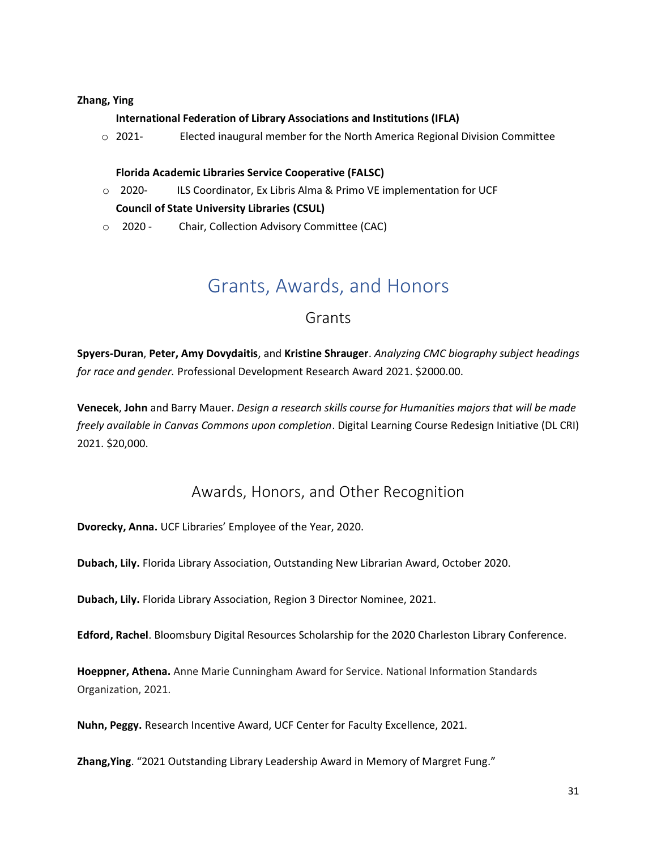#### **Zhang, Ying**

#### **International Federation of Library Associations and Institutions (IFLA)**

o 2021- Elected inaugural member for the North America Regional Division Committee

#### **Florida Academic Libraries Service Cooperative (FALSC)**

o 2020- ILS Coordinator, Ex Libris Alma & Primo VE implementation for UCF

#### **Council of State University Libraries (CSUL)**

<span id="page-31-0"></span>o 2020 - Chair, Collection Advisory Committee (CAC)

## Grants, Awards, and Honors

#### Grants

<span id="page-31-1"></span>**Spyers-Duran**, **Peter, Amy Dovydaitis**, and **Kristine Shrauger**. *Analyzing CMC biography subject headings for race and gender.* Professional Development Research Award 2021. \$2000.00.

**Venecek**, **John** and Barry Mauer. *Design a research skills course for Humanities majors that will be made freely available in Canvas Commons upon completion*. Digital Learning Course Redesign Initiative (DL CRI) 2021. \$20,000.

### Awards, Honors, and Other Recognition

<span id="page-31-2"></span>**Dvorecky, Anna.** UCF Libraries' Employee of the Year, 2020.

**Dubach, Lily.** Florida Library Association, Outstanding New Librarian Award, October 2020.

**Dubach, Lily.** Florida Library Association, Region 3 Director Nominee, 2021.

**Edford, Rachel**. Bloomsbury Digital Resources Scholarship for the 2020 Charleston Library Conference.

**Hoeppner, Athena.** Anne Marie Cunningham Award for Service. National Information Standards Organization, 2021.

**Nuhn, Peggy.** Research Incentive Award, UCF Center for Faculty Excellence, 2021.

**Zhang,Ying**. "2021 Outstanding Library Leadership Award in Memory of Margret Fung."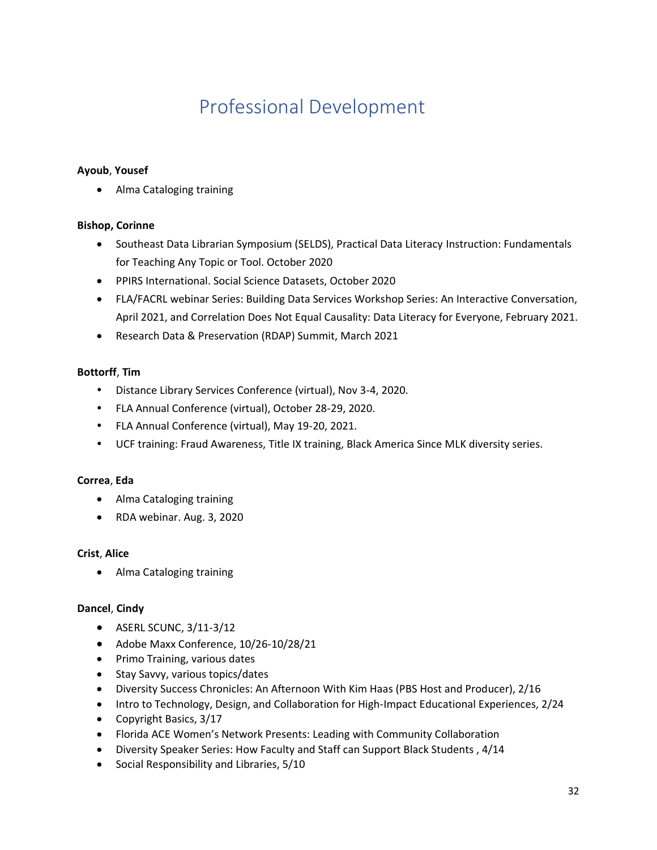# <span id="page-32-0"></span>Professional Development

#### **Ayoub**, **Yousef**

• Alma Cataloging training

#### **Bishop, Corinne**

- Southeast Data Librarian Symposium (SELDS), Practical Data Literacy Instruction: Fundamentals for Teaching Any Topic or Tool. October 2020
- PPIRS International. Social Science Datasets, October 2020
- FLA/FACRL webinar Series: Building Data Services Workshop Series: An Interactive Conversation, April 2021, and Correlation Does Not Equal Causality: Data Literacy for Everyone, February 2021.
- Research Data & Preservation (RDAP) Summit, March 2021

#### **Bottorff**, **Tim**

- Distance Library Services Conference (virtual), Nov 3-4, 2020.
- FLA Annual Conference (virtual), October 28-29, 2020.
- FLA Annual Conference (virtual), May 19-20, 2021.
- UCF training: Fraud Awareness, Title IX training, Black America Since MLK diversity series.

#### **Correa**, **Eda**

- Alma Cataloging training
- RDA webinar. Aug. 3, 2020

#### **Crist**, **Alice**

• Alma Cataloging training

#### **Dancel**, **Cindy**

- ASERL SCUNC, 3/11-3/12
- Adobe Maxx Conference, 10/26-10/28/21
- Primo Training, various dates
- Stay Savvy, various topics/dates
- Diversity Success Chronicles: An Afternoon With Kim Haas (PBS Host and Producer), 2/16
- Intro to Technology, Design, and Collaboration for High-Impact Educational Experiences, 2/24
- Copyright Basics, 3/17
- Florida ACE Women's Network Presents: Leading with Community Collaboration
- Diversity Speaker Series: How Faculty and Staff can Support Black Students , 4/14
- Social Responsibility and Libraries, 5/10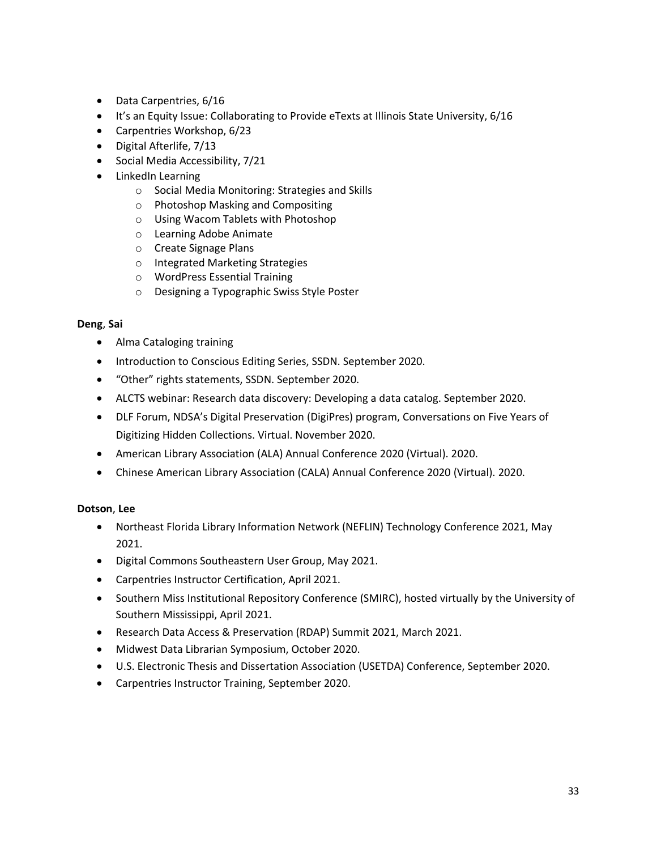- Data Carpentries, 6/16
- It's an Equity Issue: Collaborating to Provide eTexts at Illinois State University, 6/16
- Carpentries Workshop, 6/23
- Digital Afterlife, 7/13
- Social Media Accessibility, 7/21
- LinkedIn Learning
	- o Social Media Monitoring: Strategies and Skills
	- o Photoshop Masking and Compositing
	- o Using Wacom Tablets with Photoshop
	- o Learning Adobe Animate
	- o Create Signage Plans
	- o Integrated Marketing Strategies
	- o WordPress Essential Training
	- o Designing a Typographic Swiss Style Poster

#### **Deng**, **Sai**

- Alma Cataloging training
- Introduction to Conscious Editing Series, SSDN. September 2020.
- "Other" rights statements, SSDN. September 2020.
- ALCTS webinar: Research data discovery: Developing a data catalog. September 2020.
- DLF Forum, NDSA's Digital Preservation (DigiPres) program, Conversations on Five Years of Digitizing Hidden Collections. Virtual. November 2020.
- American Library Association (ALA) Annual Conference 2020 (Virtual). 2020.
- Chinese American Library Association (CALA) Annual Conference 2020 (Virtual). 2020.

#### **Dotson**, **Lee**

- Northeast Florida Library Information Network (NEFLIN) Technology Conference 2021, May 2021.
- Digital Commons Southeastern User Group, May 2021.
- Carpentries Instructor Certification, April 2021.
- Southern Miss Institutional Repository Conference (SMIRC), hosted virtually by the University of Southern Mississippi, April 2021.
- Research Data Access & Preservation (RDAP) Summit 2021, March 2021.
- Midwest Data Librarian Symposium, October 2020.
- U.S. Electronic Thesis and Dissertation Association (USETDA) Conference, September 2020.
- Carpentries Instructor Training, September 2020.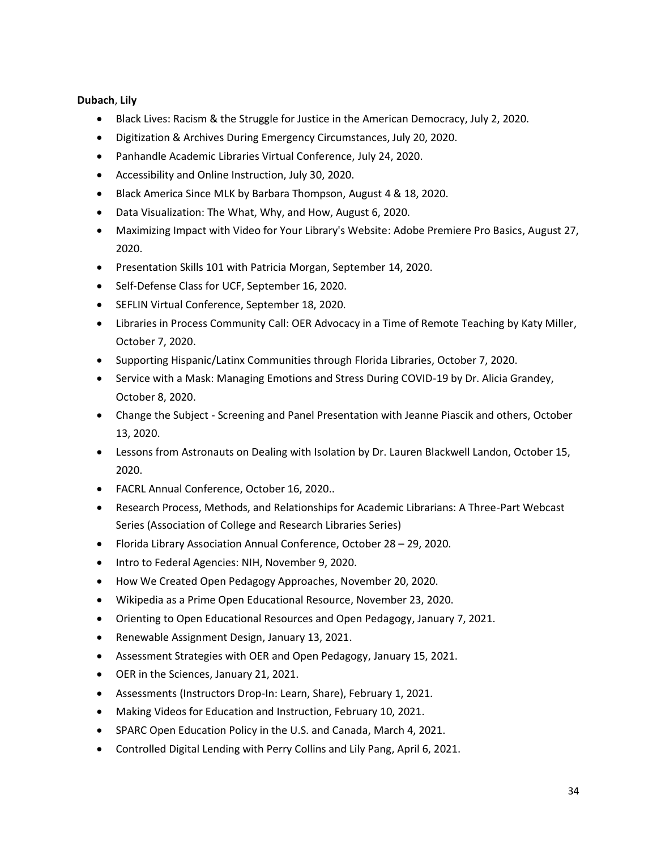#### **Dubach**, **Lily**

- Black Lives: Racism & the Struggle for Justice in the American Democracy, July 2, 2020.
- Digitization & Archives During Emergency Circumstances, July 20, 2020.
- Panhandle Academic Libraries Virtual Conference, July 24, 2020.
- Accessibility and Online Instruction, July 30, 2020.
- Black America Since MLK by Barbara Thompson, August 4 & 18, 2020.
- Data Visualization: The What, Why, and How, August 6, 2020.
- Maximizing Impact with Video for Your Library's Website: Adobe Premiere Pro Basics, August 27, 2020.
- Presentation Skills 101 with Patricia Morgan, September 14, 2020.
- Self-Defense Class for UCF, September 16, 2020.
- SEFLIN Virtual Conference, September 18, 2020.
- Libraries in Process Community Call: OER Advocacy in a Time of Remote Teaching by Katy Miller, October 7, 2020.
- Supporting Hispanic/Latinx Communities through Florida Libraries, October 7, 2020.
- Service with a Mask: Managing Emotions and Stress During COVID-19 by Dr. Alicia Grandey, October 8, 2020.
- Change the Subject Screening and Panel Presentation with Jeanne Piascik and others, October 13, 2020.
- Lessons from Astronauts on Dealing with Isolation by Dr. Lauren Blackwell Landon, October 15, 2020.
- FACRL Annual Conference, October 16, 2020..
- Research Process, Methods, and Relationships for Academic Librarians: A Three-Part Webcast Series (Association of College and Research Libraries Series)
- Florida Library Association Annual Conference, October 28 29, 2020.
- Intro to Federal Agencies: NIH, November 9, 2020.
- How We Created Open Pedagogy Approaches, November 20, 2020.
- Wikipedia as a Prime Open Educational Resource, November 23, 2020.
- Orienting to Open Educational Resources and Open Pedagogy, January 7, 2021.
- Renewable Assignment Design, January 13, 2021.
- Assessment Strategies with OER and Open Pedagogy, January 15, 2021.
- OER in the Sciences, January 21, 2021.
- Assessments (Instructors Drop-In: Learn, Share), February 1, 2021.
- Making Videos for Education and Instruction, February 10, 2021.
- SPARC Open Education Policy in the U.S. and Canada, March 4, 2021.
- Controlled Digital Lending with Perry Collins and Lily Pang, April 6, 2021.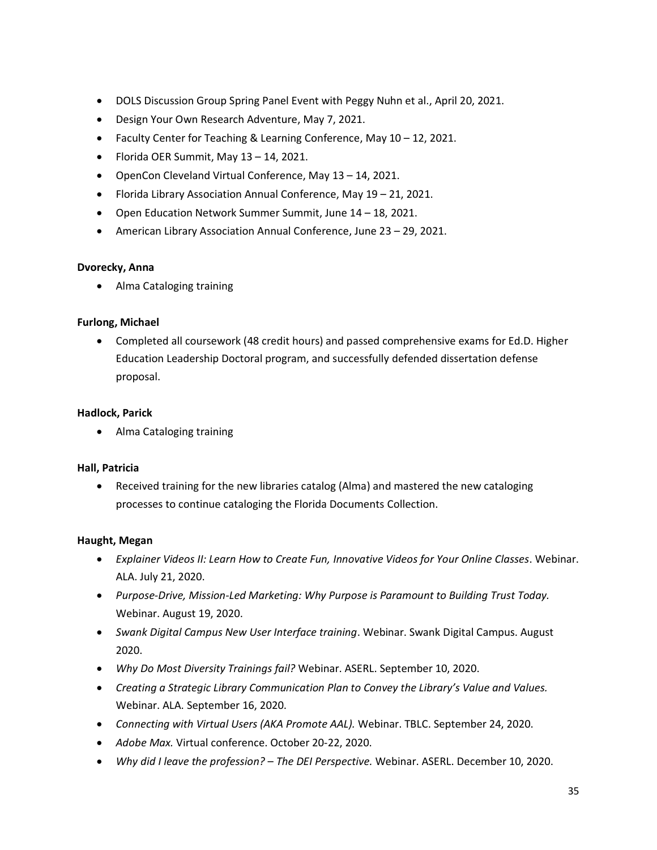- DOLS Discussion Group Spring Panel Event with Peggy Nuhn et al., April 20, 2021.
- Design Your Own Research Adventure, May 7, 2021.
- Faculty Center for Teaching & Learning Conference, May 10 12, 2021.
- Florida OER Summit, May 13 14, 2021.
- OpenCon Cleveland Virtual Conference, May 13 14, 2021.
- Florida Library Association Annual Conference, May 19 21, 2021.
- Open Education Network Summer Summit, June 14 18, 2021.
- American Library Association Annual Conference, June 23 29, 2021.

#### **Dvorecky, Anna**

• Alma Cataloging training

#### **Furlong, Michael**

• Completed all coursework (48 credit hours) and passed comprehensive exams for Ed.D. Higher Education Leadership Doctoral program, and successfully defended dissertation defense proposal.

#### **Hadlock, Parick**

• Alma Cataloging training

#### **Hall, Patricia**

• Received training for the new libraries catalog (Alma) and mastered the new cataloging processes to continue cataloging the Florida Documents Collection.

#### **Haught, Megan**

- *Explainer Videos II: Learn How to Create Fun, Innovative Videos for Your Online Classes*. Webinar. ALA. July 21, 2020.
- *Purpose-Drive, Mission-Led Marketing: Why Purpose is Paramount to Building Trust Today.* Webinar. August 19, 2020.
- *Swank Digital Campus New User Interface training*. Webinar. Swank Digital Campus. August 2020.
- *Why Do Most Diversity Trainings fail?* Webinar. ASERL. September 10, 2020.
- *Creating a Strategic Library Communication Plan to Convey the Library's Value and Values.*  Webinar. ALA. September 16, 2020.
- *Connecting with Virtual Users (AKA Promote AAL).* Webinar. TBLC. September 24, 2020.
- *Adobe Max.* Virtual conference. October 20-22, 2020.
- *Why did I leave the profession? The DEI Perspective.* Webinar. ASERL. December 10, 2020.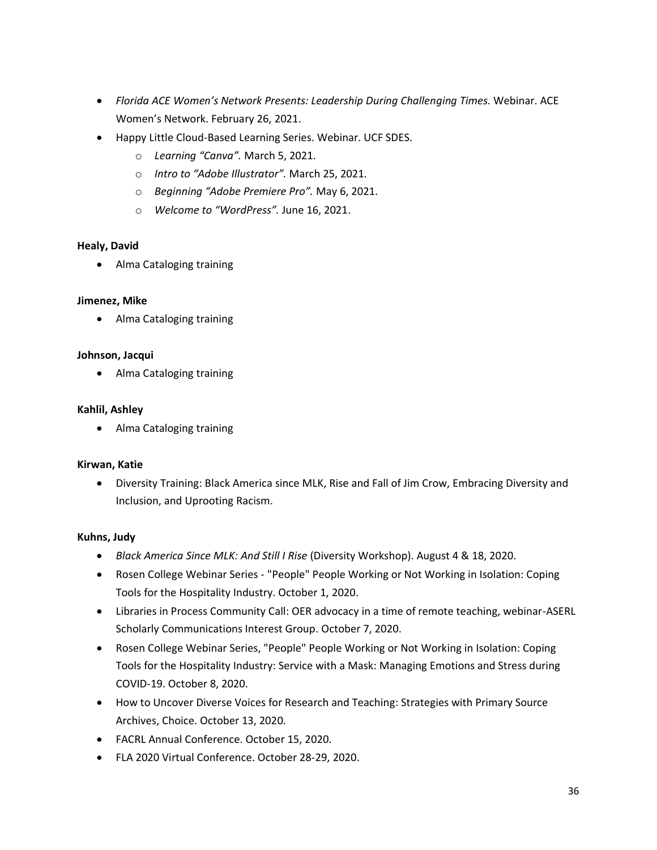- *Florida ACE Women's Network Presents: Leadership During Challenging Times.* Webinar. ACE Women's Network. February 26, 2021.
- Happy Little Cloud-Based Learning Series. Webinar. UCF SDES.
	- o *Learning "Canva".* March 5, 2021.
	- o *Intro to "Adobe Illustrator".* March 25, 2021.
	- o *Beginning "Adobe Premiere Pro".* May 6, 2021.
	- o *Welcome to "WordPress".* June 16, 2021.

#### **Healy, David**

• Alma Cataloging training

#### **Jimenez, Mike**

• Alma Cataloging training

#### **Johnson, Jacqui**

• Alma Cataloging training

#### **Kahlil, Ashley**

• Alma Cataloging training

#### **Kirwan, Katie**

• Diversity Training: Black America since MLK, Rise and Fall of Jim Crow, Embracing Diversity and Inclusion, and Uprooting Racism.

#### **Kuhns, Judy**

- *Black America Since MLK: And Still I Rise* (Diversity Workshop). August 4 & 18, 2020.
- Rosen College Webinar Series "People" People Working or Not Working in Isolation: Coping Tools for the Hospitality Industry. October 1, 2020.
- Libraries in Process Community Call: OER advocacy in a time of remote teaching, webinar-ASERL Scholarly Communications Interest Group. October 7, 2020.
- Rosen College Webinar Series, "People" People Working or Not Working in Isolation: Coping Tools for the Hospitality Industry: Service with a Mask: Managing Emotions and Stress during COVID-19. October 8, 2020.
- How to Uncover Diverse Voices for Research and Teaching: Strategies with Primary Source Archives, Choice. October 13, 2020.
- FACRL Annual Conference. October 15, 2020.
- FLA 2020 Virtual Conference. October 28-29, 2020.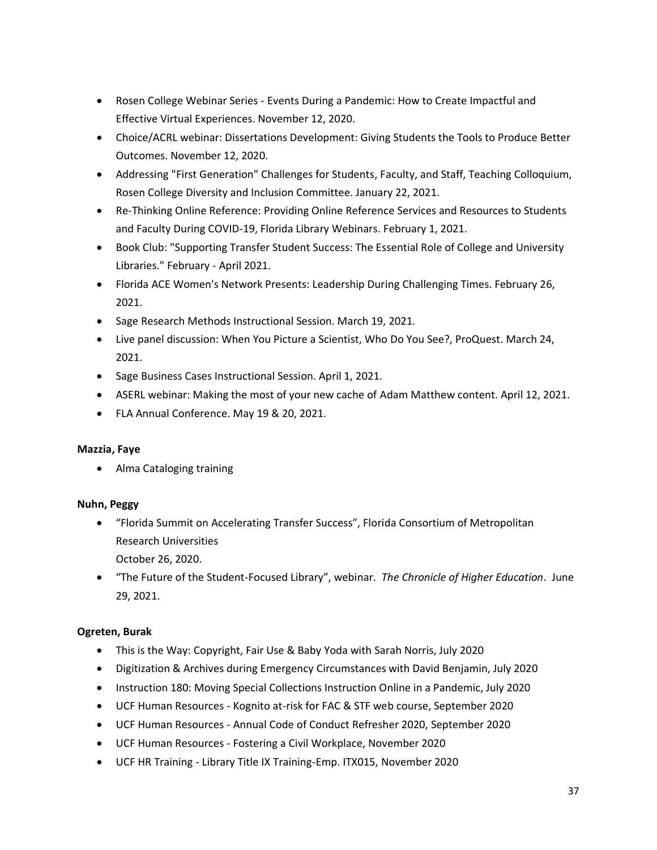- Rosen College Webinar Series Events During a Pandemic: How to Create Impactful and Effective Virtual Experiences. November 12, 2020.
- Choice/ACRL webinar: Dissertations Development: Giving Students the Tools to Produce Better Outcomes. November 12, 2020.
- Addressing "First Generation" Challenges for Students, Faculty, and Staff, Teaching Colloquium, Rosen College Diversity and Inclusion Committee. January 22, 2021.
- Re-Thinking Online Reference: Providing Online Reference Services and Resources to Students and Faculty During COVID-19, Florida Library Webinars. February 1, 2021.
- Book Club: "Supporting Transfer Student Success: The Essential Role of College and University Libraries." February - April 2021.
- Florida ACE Women's Network Presents: Leadership During Challenging Times. February 26, 2021.
- Sage Research Methods Instructional Session. March 19, 2021.
- Live panel discussion: When You Picture a Scientist, Who Do You See?, ProQuest. March 24, 2021.
- Sage Business Cases Instructional Session. April 1, 2021.
- ASERL webinar: Making the most of your new cache of Adam Matthew content. April 12, 2021.
- FLA Annual Conference. May 19 & 20, 2021.

#### **Mazzia, Faye**

• Alma Cataloging training

#### **Nuhn, Peggy**

- "Florida Summit on Accelerating Transfer Success", Florida Consortium of Metropolitan Research Universities October 26, 2020.
- "The Future of the Student-Focused Library", webinar. *The Chronicle of Higher Education*. June 29, 2021.

#### **Ogreten, Burak**

- This is the Way: Copyright, Fair Use & Baby Yoda with Sarah Norris, July 2020
- Digitization & Archives during Emergency Circumstances with David Benjamin, July 2020
- Instruction 180: Moving Special Collections Instruction Online in a Pandemic, July 2020
- UCF Human Resources Kognito at-risk for FAC & STF web course, September 2020
- UCF Human Resources Annual Code of Conduct Refresher 2020, September 2020
- UCF Human Resources Fostering a Civil Workplace, November 2020
- UCF HR Training Library Title IX Training-Emp. ITX015, November 2020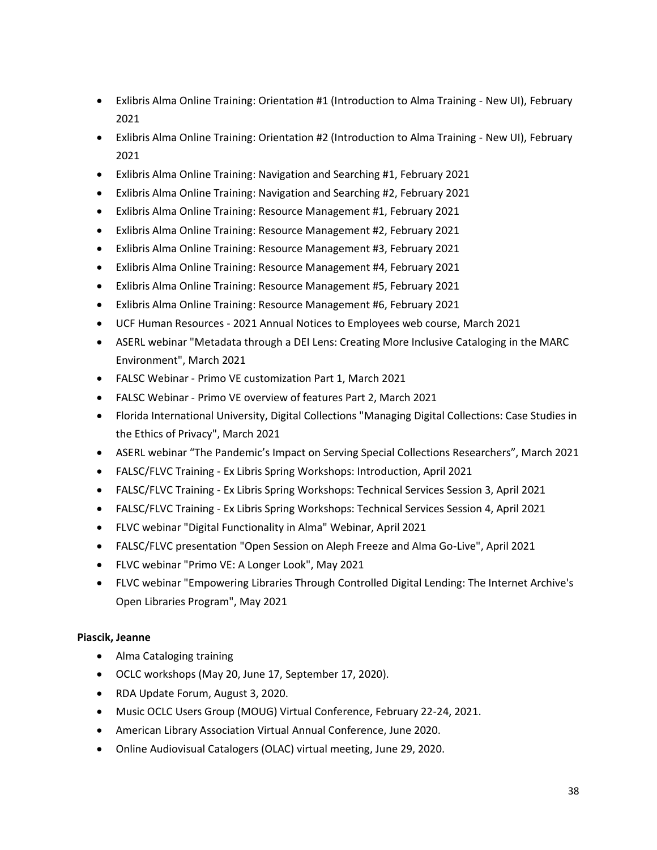- Exlibris Alma Online Training: Orientation #1 (Introduction to Alma Training New UI), February 2021
- Exlibris Alma Online Training: Orientation #2 (Introduction to Alma Training New UI), February 2021
- Exlibris Alma Online Training: Navigation and Searching #1, February 2021
- Exlibris Alma Online Training: Navigation and Searching #2, February 2021
- Exlibris Alma Online Training: Resource Management #1, February 2021
- Exlibris Alma Online Training: Resource Management #2, February 2021
- Exlibris Alma Online Training: Resource Management #3, February 2021
- Exlibris Alma Online Training: Resource Management #4, February 2021
- Exlibris Alma Online Training: Resource Management #5, February 2021
- Exlibris Alma Online Training: Resource Management #6, February 2021
- UCF Human Resources 2021 Annual Notices to Employees web course, March 2021
- ASERL webinar "Metadata through a DEI Lens: Creating More Inclusive Cataloging in the MARC Environment", March 2021
- FALSC Webinar Primo VE customization Part 1, March 2021
- FALSC Webinar Primo VE overview of features Part 2, March 2021
- Florida International University, Digital Collections "Managing Digital Collections: Case Studies in the Ethics of Privacy", March 2021
- ASERL webinar "The Pandemic's Impact on Serving Special Collections Researchers", March 2021
- FALSC/FLVC Training Ex Libris Spring Workshops: Introduction, April 2021
- FALSC/FLVC Training Ex Libris Spring Workshops: Technical Services Session 3, April 2021
- FALSC/FLVC Training Ex Libris Spring Workshops: Technical Services Session 4, April 2021
- FLVC webinar "Digital Functionality in Alma" Webinar, April 2021
- FALSC/FLVC presentation "Open Session on Aleph Freeze and Alma Go-Live", April 2021
- FLVC webinar "Primo VE: A Longer Look", May 2021
- FLVC webinar "Empowering Libraries Through Controlled Digital Lending: The Internet Archive's Open Libraries Program", May 2021

#### **Piascik, Jeanne**

- Alma Cataloging training
- OCLC workshops (May 20, June 17, September 17, 2020).
- RDA Update Forum, August 3, 2020.
- Music OCLC Users Group (MOUG) Virtual Conference, February 22-24, 2021.
- American Library Association Virtual Annual Conference, June 2020.
- Online Audiovisual Catalogers (OLAC) virtual meeting, June 29, 2020.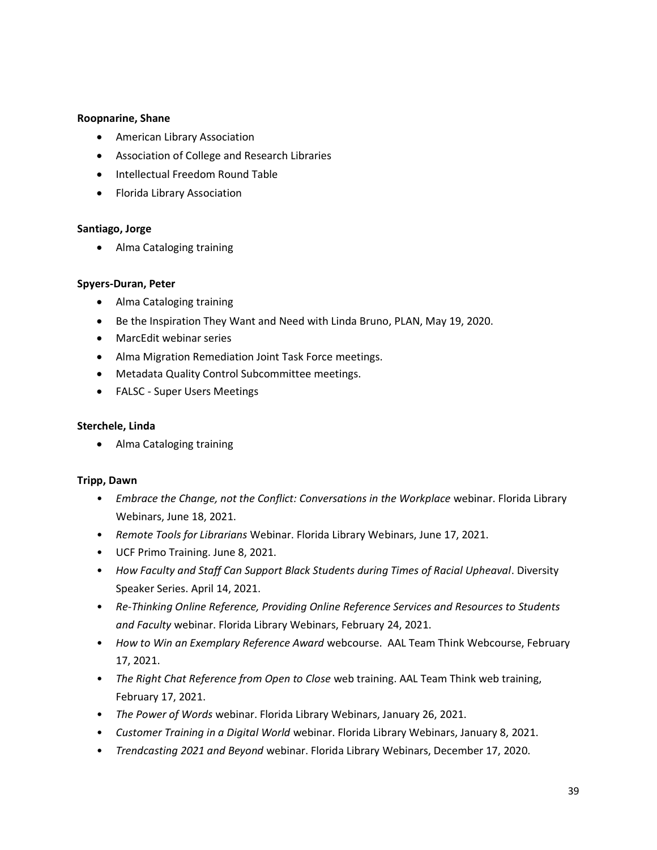#### **Roopnarine, Shane**

- American Library Association
- Association of College and Research Libraries
- Intellectual Freedom Round Table
- Florida Library Association

#### **Santiago, Jorge**

• Alma Cataloging training

#### **Spyers-Duran, Peter**

- Alma Cataloging training
- Be the Inspiration They Want and Need with Linda Bruno, PLAN, May 19, 2020.
- MarcEdit webinar series
- Alma Migration Remediation Joint Task Force meetings.
- Metadata Quality Control Subcommittee meetings.
- FALSC Super Users Meetings

#### **Sterchele, Linda**

• Alma Cataloging training

#### **Tripp, Dawn**

- *Embrace the Change, not the Conflict: Conversations in the Workplace webinar. Florida Library* Webinars, June 18, 2021.
- *Remote Tools for Librarians* Webinar. Florida Library Webinars, June 17, 2021.
- UCF Primo Training. June 8, 2021.
- *How Faculty and Staff Can Support Black Students during Times of Racial Upheaval*. Diversity Speaker Series. April 14, 2021.
- *Re-Thinking Online Reference, Providing Online Reference Services and Resources to Students and Faculty* webinar. Florida Library Webinars, February 24, 2021.
- *How to Win an Exemplary Reference Award* webcourse. AAL Team Think Webcourse, February 17, 2021.
- *The Right Chat Reference from Open to Close* web training. AAL Team Think web training, February 17, 2021.
- *The Power of Words* webinar. Florida Library Webinars, January 26, 2021.
- *Customer Training in a Digital World* webinar. Florida Library Webinars, January 8, 2021.
- *Trendcasting 2021 and Beyond* webinar. Florida Library Webinars, December 17, 2020.